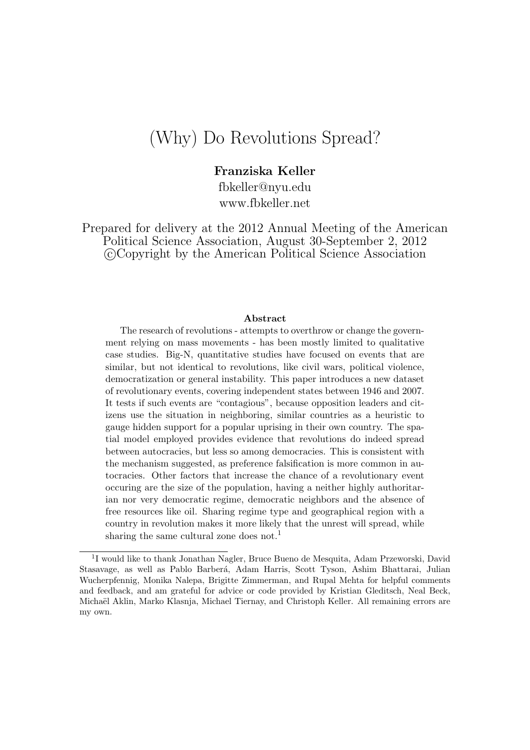# (Why) Do Revolutions Spread?

Franziska Keller

fbkeller@nyu.edu www.fbkeller.net

Prepared for delivery at the 2012 Annual Meeting of the American Political Science Association, August 30-September 2, 2012 c Copyright by the American Political Science Association

#### Abstract

The research of revolutions - attempts to overthrow or change the government relying on mass movements - has been mostly limited to qualitative case studies. Big-N, quantitative studies have focused on events that are similar, but not identical to revolutions, like civil wars, political violence, democratization or general instability. This paper introduces a new dataset of revolutionary events, covering independent states between 1946 and 2007. It tests if such events are "contagious", because opposition leaders and citizens use the situation in neighboring, similar countries as a heuristic to gauge hidden support for a popular uprising in their own country. The spatial model employed provides evidence that revolutions do indeed spread between autocracies, but less so among democracies. This is consistent with the mechanism suggested, as preference falsification is more common in autocracies. Other factors that increase the chance of a revolutionary event occuring are the size of the population, having a neither highly authoritarian nor very democratic regime, democratic neighbors and the absence of free resources like oil. Sharing regime type and geographical region with a country in revolution makes it more likely that the unrest will spread, while sharing the same cultural zone does not.<sup>1</sup>

<sup>&</sup>lt;sup>1</sup>I would like to thank Jonathan Nagler, Bruce Bueno de Mesquita, Adam Przeworski, David Stasavage, as well as Pablo Barberá, Adam Harris, Scott Tyson, Ashim Bhattarai, Julian Wucherpfennig, Monika Nalepa, Brigitte Zimmerman, and Rupal Mehta for helpful comments and feedback, and am grateful for advice or code provided by Kristian Gleditsch, Neal Beck, Michaël Aklin, Marko Klasnja, Michael Tiernay, and Christoph Keller. All remaining errors are my own.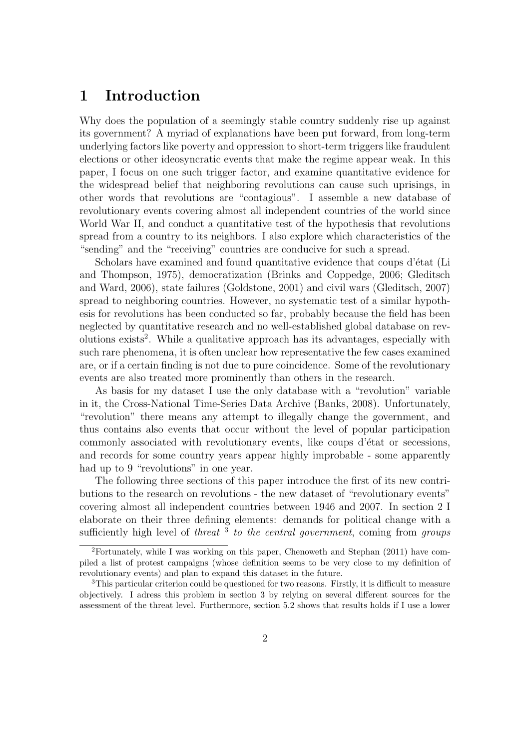## 1 Introduction

Why does the population of a seemingly stable country suddenly rise up against its government? A myriad of explanations have been put forward, from long-term underlying factors like poverty and oppression to short-term triggers like fraudulent elections or other ideosyncratic events that make the regime appear weak. In this paper, I focus on one such trigger factor, and examine quantitative evidence for the widespread belief that neighboring revolutions can cause such uprisings, in other words that revolutions are "contagious". I assemble a new database of revolutionary events covering almost all independent countries of the world since World War II, and conduct a quantitative test of the hypothesis that revolutions spread from a country to its neighbors. I also explore which characteristics of the "sending" and the "receiving" countries are conducive for such a spread.

Scholars have examined and found quantitative evidence that coups d'état (Li and Thompson, 1975), democratization (Brinks and Coppedge, 2006; Gleditsch and Ward, 2006), state failures (Goldstone, 2001) and civil wars (Gleditsch, 2007) spread to neighboring countries. However, no systematic test of a similar hypothesis for revolutions has been conducted so far, probably because the field has been neglected by quantitative research and no well-established global database on revolutions exists<sup>2</sup>. While a qualitative approach has its advantages, especially with such rare phenomena, it is often unclear how representative the few cases examined are, or if a certain finding is not due to pure coincidence. Some of the revolutionary events are also treated more prominently than others in the research.

As basis for my dataset I use the only database with a "revolution" variable in it, the Cross-National Time-Series Data Archive (Banks, 2008). Unfortunately, "revolution" there means any attempt to illegally change the government, and thus contains also events that occur without the level of popular participation commonly associated with revolutionary events, like coups d'état or secessions, and records for some country years appear highly improbable - some apparently had up to 9 "revolutions" in one year.

The following three sections of this paper introduce the first of its new contributions to the research on revolutions - the new dataset of "revolutionary events" covering almost all independent countries between 1946 and 2007. In section 2 I elaborate on their three defining elements: demands for political change with a sufficiently high level of *threat*  $3$  to the central government, coming from groups

<sup>2</sup>Fortunately, while I was working on this paper, Chenoweth and Stephan (2011) have compiled a list of protest campaigns (whose definition seems to be very close to my definition of revolutionary events) and plan to expand this dataset in the future.

<sup>3</sup>This particular criterion could be questioned for two reasons. Firstly, it is difficult to measure objectively. I adress this problem in section 3 by relying on several different sources for the assessment of the threat level. Furthermore, section 5.2 shows that results holds if I use a lower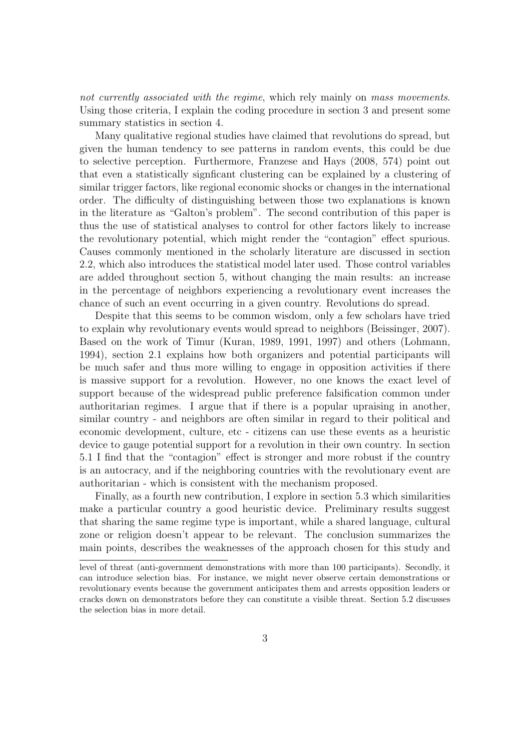not currently associated with the regime, which rely mainly on mass movements. Using those criteria, I explain the coding procedure in section 3 and present some summary statistics in section 4.

Many qualitative regional studies have claimed that revolutions do spread, but given the human tendency to see patterns in random events, this could be due to selective perception. Furthermore, Franzese and Hays (2008, 574) point out that even a statistically signficant clustering can be explained by a clustering of similar trigger factors, like regional economic shocks or changes in the international order. The difficulty of distinguishing between those two explanations is known in the literature as "Galton's problem". The second contribution of this paper is thus the use of statistical analyses to control for other factors likely to increase the revolutionary potential, which might render the "contagion" effect spurious. Causes commonly mentioned in the scholarly literature are discussed in section 2.2, which also introduces the statistical model later used. Those control variables are added throughout section 5, without changing the main results: an increase in the percentage of neighbors experiencing a revolutionary event increases the chance of such an event occurring in a given country. Revolutions do spread.

Despite that this seems to be common wisdom, only a few scholars have tried to explain why revolutionary events would spread to neighbors (Beissinger, 2007). Based on the work of Timur (Kuran, 1989, 1991, 1997) and others (Lohmann, 1994), section 2.1 explains how both organizers and potential participants will be much safer and thus more willing to engage in opposition activities if there is massive support for a revolution. However, no one knows the exact level of support because of the widespread public preference falsification common under authoritarian regimes. I argue that if there is a popular upraising in another, similar country - and neighbors are often similar in regard to their political and economic development, culture, etc - citizens can use these events as a heuristic device to gauge potential support for a revolution in their own country. In section 5.1 I find that the "contagion" effect is stronger and more robust if the country is an autocracy, and if the neighboring countries with the revolutionary event are authoritarian - which is consistent with the mechanism proposed.

Finally, as a fourth new contribution, I explore in section 5.3 which similarities make a particular country a good heuristic device. Preliminary results suggest that sharing the same regime type is important, while a shared language, cultural zone or religion doesn't appear to be relevant. The conclusion summarizes the main points, describes the weaknesses of the approach chosen for this study and

level of threat (anti-government demonstrations with more than 100 participants). Secondly, it can introduce selection bias. For instance, we might never observe certain demonstrations or revolutionary events because the government anticipates them and arrests opposition leaders or cracks down on demonstrators before they can constitute a visible threat. Section 5.2 discusses the selection bias in more detail.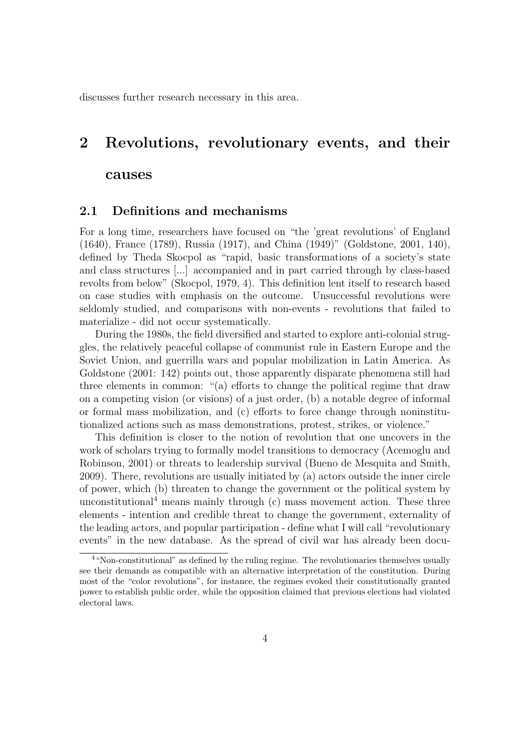discusses further research necessary in this area.

## 2 Revolutions, revolutionary events, and their

#### causes

#### 2.1 Definitions and mechanisms

For a long time, researchers have focused on "the 'great revolutions' of England (1640), France (1789), Russia (1917), and China (1949)" (Goldstone, 2001, 140), defined by Theda Skocpol as "rapid, basic transformations of a society's state and class structures [...] accompanied and in part carried through by class-based revolts from below" (Skocpol, 1979, 4). This definition lent itself to research based on case studies with emphasis on the outcome. Unsuccessful revolutions were seldomly studied, and comparisons with non-events - revolutions that failed to materialize - did not occur systematically.

During the 1980s, the field diversified and started to explore anti-colonial struggles, the relatively peaceful collapse of communist rule in Eastern Europe and the Soviet Union, and guerrilla wars and popular mobilization in Latin America. As Goldstone (2001: 142) points out, those apparently disparate phenomena still had three elements in common: "(a) efforts to change the political regime that draw on a competing vision (or visions) of a just order, (b) a notable degree of informal or formal mass mobilization, and (c) efforts to force change through noninstitutionalized actions such as mass demonstrations, protest, strikes, or violence."

This definition is closer to the notion of revolution that one uncovers in the work of scholars trying to formally model transitions to democracy (Acemoglu and Robinson, 2001) or threats to leadership survival (Bueno de Mesquita and Smith, 2009). There, revolutions are usually initiated by (a) actors outside the inner circle of power, which (b) threaten to change the government or the political system by unconstitutional<sup>4</sup> means mainly through  $(c)$  mass movement action. These three elements - intention and credible threat to change the government, externality of the leading actors, and popular participation - define what I will call "revolutionary events" in the new database. As the spread of civil war has already been docu-

<sup>&</sup>lt;sup>4</sup>"Non-constitutional" as defined by the ruling regime. The revolutionaries themselves usually see their demands as compatible with an alternative interpretation of the constitution. During most of the "color revolutions", for instance, the regimes evoked their constitutionally granted power to establish public order, while the opposition claimed that previous elections had violated electoral laws.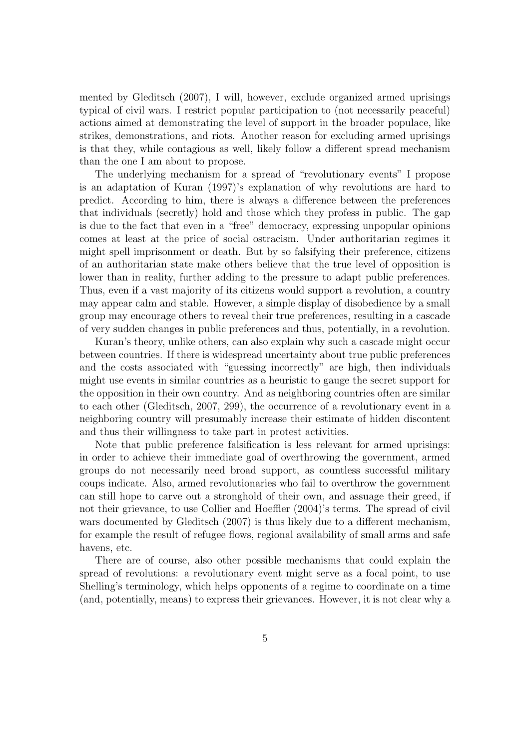mented by Gleditsch (2007), I will, however, exclude organized armed uprisings typical of civil wars. I restrict popular participation to (not necessarily peaceful) actions aimed at demonstrating the level of support in the broader populace, like strikes, demonstrations, and riots. Another reason for excluding armed uprisings is that they, while contagious as well, likely follow a different spread mechanism than the one I am about to propose.

The underlying mechanism for a spread of "revolutionary events" I propose is an adaptation of Kuran (1997)'s explanation of why revolutions are hard to predict. According to him, there is always a difference between the preferences that individuals (secretly) hold and those which they profess in public. The gap is due to the fact that even in a "free" democracy, expressing unpopular opinions comes at least at the price of social ostracism. Under authoritarian regimes it might spell imprisonment or death. But by so falsifying their preference, citizens of an authoritarian state make others believe that the true level of opposition is lower than in reality, further adding to the pressure to adapt public preferences. Thus, even if a vast majority of its citizens would support a revolution, a country may appear calm and stable. However, a simple display of disobedience by a small group may encourage others to reveal their true preferences, resulting in a cascade of very sudden changes in public preferences and thus, potentially, in a revolution.

Kuran's theory, unlike others, can also explain why such a cascade might occur between countries. If there is widespread uncertainty about true public preferences and the costs associated with "guessing incorrectly" are high, then individuals might use events in similar countries as a heuristic to gauge the secret support for the opposition in their own country. And as neighboring countries often are similar to each other (Gleditsch, 2007, 299), the occurrence of a revolutionary event in a neighboring country will presumably increase their estimate of hidden discontent and thus their willingness to take part in protest activities.

Note that public preference falsification is less relevant for armed uprisings: in order to achieve their immediate goal of overthrowing the government, armed groups do not necessarily need broad support, as countless successful military coups indicate. Also, armed revolutionaries who fail to overthrow the government can still hope to carve out a stronghold of their own, and assuage their greed, if not their grievance, to use Collier and Hoeffler (2004)'s terms. The spread of civil wars documented by Gleditsch (2007) is thus likely due to a different mechanism, for example the result of refugee flows, regional availability of small arms and safe havens, etc.

There are of course, also other possible mechanisms that could explain the spread of revolutions: a revolutionary event might serve as a focal point, to use Shelling's terminology, which helps opponents of a regime to coordinate on a time (and, potentially, means) to express their grievances. However, it is not clear why a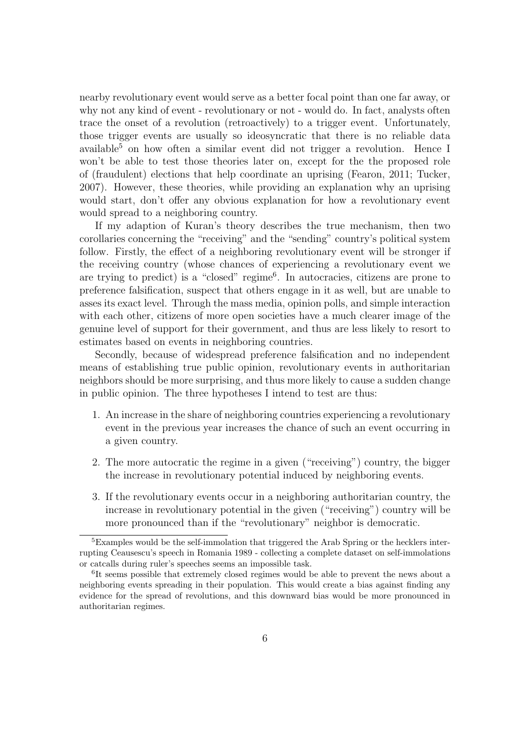nearby revolutionary event would serve as a better focal point than one far away, or why not any kind of event - revolutionary or not - would do. In fact, analysts often trace the onset of a revolution (retroactively) to a trigger event. Unfortunately, those trigger events are usually so ideosyncratic that there is no reliable data available<sup>5</sup> on how often a similar event did not trigger a revolution. Hence I won't be able to test those theories later on, except for the the proposed role of (fraudulent) elections that help coordinate an uprising (Fearon, 2011; Tucker, 2007). However, these theories, while providing an explanation why an uprising would start, don't offer any obvious explanation for how a revolutionary event would spread to a neighboring country.

If my adaption of Kuran's theory describes the true mechanism, then two corollaries concerning the "receiving" and the "sending" country's political system follow. Firstly, the effect of a neighboring revolutionary event will be stronger if the receiving country (whose chances of experiencing a revolutionary event we are trying to predict) is a "closed" regime<sup>6</sup>. In autocracies, citizens are prone to preference falsification, suspect that others engage in it as well, but are unable to asses its exact level. Through the mass media, opinion polls, and simple interaction with each other, citizens of more open societies have a much clearer image of the genuine level of support for their government, and thus are less likely to resort to estimates based on events in neighboring countries.

Secondly, because of widespread preference falsification and no independent means of establishing true public opinion, revolutionary events in authoritarian neighbors should be more surprising, and thus more likely to cause a sudden change in public opinion. The three hypotheses I intend to test are thus:

- 1. An increase in the share of neighboring countries experiencing a revolutionary event in the previous year increases the chance of such an event occurring in a given country.
- 2. The more autocratic the regime in a given ("receiving") country, the bigger the increase in revolutionary potential induced by neighboring events.
- 3. If the revolutionary events occur in a neighboring authoritarian country, the increase in revolutionary potential in the given ("receiving") country will be more pronounced than if the "revolutionary" neighbor is democratic.

<sup>&</sup>lt;sup>5</sup>Examples would be the self-immolation that triggered the Arab Spring or the hecklers interrupting Ceausescu's speech in Romania 1989 - collecting a complete dataset on self-immolations or catcalls during ruler's speeches seems an impossible task.

<sup>6</sup> It seems possible that extremely closed regimes would be able to prevent the news about a neighboring events spreading in their population. This would create a bias against finding any evidence for the spread of revolutions, and this downward bias would be more pronounced in authoritarian regimes.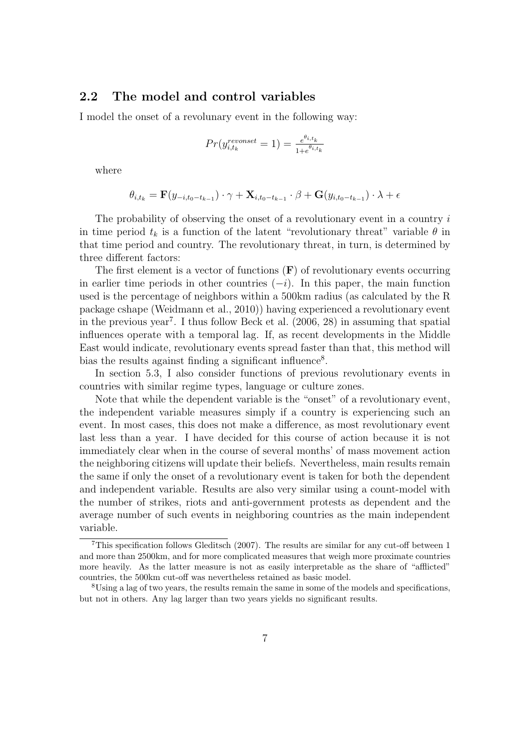#### 2.2 The model and control variables

I model the onset of a revolunary event in the following way:

$$
Pr(y_{i,t_k}^{revonset} = 1) = \frac{e^{\theta_{i,t_k}}}{1 + e^{\theta_{i,t_k}}}
$$

where

$$
\theta_{i,t_k} = \mathbf{F}(y_{-i,t_0-t_{k-1}}) \cdot \gamma + \mathbf{X}_{i,t_0-t_{k-1}} \cdot \beta + \mathbf{G}(y_{i,t_0-t_{k-1}}) \cdot \lambda + \epsilon
$$

The probability of observing the onset of a revolutionary event in a country  $i$ in time period  $t_k$  is a function of the latent "revolutionary threat" variable  $\theta$  in that time period and country. The revolutionary threat, in turn, is determined by three different factors:

The first element is a vector of functions  $(F)$  of revolutionary events occurring in earlier time periods in other countries  $(-i)$ . In this paper, the main function used is the percentage of neighbors within a 500km radius (as calculated by the R package cshape (Weidmann et al., 2010)) having experienced a revolutionary event in the previous year<sup>7</sup>. I thus follow Beck et al.  $(2006, 28)$  in assuming that spatial influences operate with a temporal lag. If, as recent developments in the Middle East would indicate, revolutionary events spread faster than that, this method will bias the results against finding a significant influence<sup>8</sup>.

In section 5.3, I also consider functions of previous revolutionary events in countries with similar regime types, language or culture zones.

Note that while the dependent variable is the "onset" of a revolutionary event, the independent variable measures simply if a country is experiencing such an event. In most cases, this does not make a difference, as most revolutionary event last less than a year. I have decided for this course of action because it is not immediately clear when in the course of several months' of mass movement action the neighboring citizens will update their beliefs. Nevertheless, main results remain the same if only the onset of a revolutionary event is taken for both the dependent and independent variable. Results are also very similar using a count-model with the number of strikes, riots and anti-government protests as dependent and the average number of such events in neighboring countries as the main independent variable.

<sup>7</sup>This specification follows Gleditsch (2007). The results are similar for any cut-off between 1 and more than 2500km, and for more complicated measures that weigh more proximate countries more heavily. As the latter measure is not as easily interpretable as the share of "afflicted" countries, the 500km cut-off was nevertheless retained as basic model.

<sup>8</sup>Using a lag of two years, the results remain the same in some of the models and specifications, but not in others. Any lag larger than two years yields no significant results.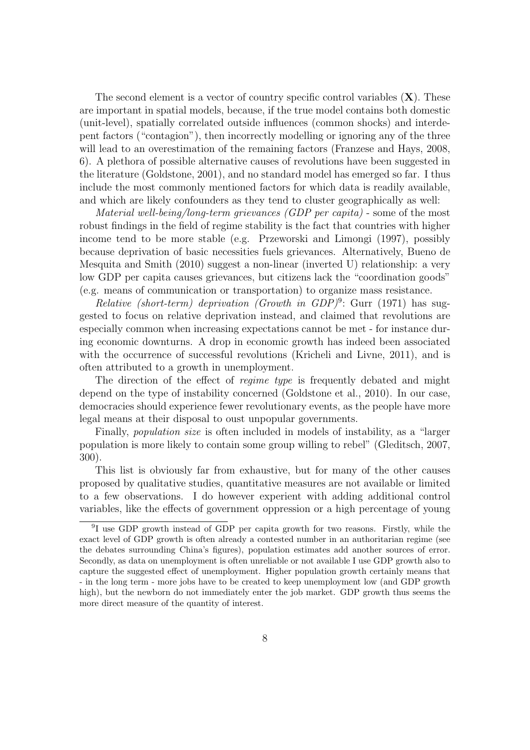The second element is a vector of country specific control variables  $(X)$ . These are important in spatial models, because, if the true model contains both domestic (unit-level), spatially correlated outside influences (common shocks) and interdepent factors ("contagion"), then incorrectly modelling or ignoring any of the three will lead to an overestimation of the remaining factors (Franzese and Hays, 2008, 6). A plethora of possible alternative causes of revolutions have been suggested in the literature (Goldstone, 2001), and no standard model has emerged so far. I thus include the most commonly mentioned factors for which data is readily available, and which are likely confounders as they tend to cluster geographically as well:

Material well-being/long-term grievances (GDP per capita) - some of the most robust findings in the field of regime stability is the fact that countries with higher income tend to be more stable (e.g. Przeworski and Limongi (1997), possibly because deprivation of basic necessities fuels grievances. Alternatively, Bueno de Mesquita and Smith (2010) suggest a non-linear (inverted U) relationship: a very low GDP per capita causes grievances, but citizens lack the "coordination goods" (e.g. means of communication or transportation) to organize mass resistance.

Relative (short-term) deprivation (Growth in GDP)<sup>9</sup>: Gurr (1971) has suggested to focus on relative deprivation instead, and claimed that revolutions are especially common when increasing expectations cannot be met - for instance during economic downturns. A drop in economic growth has indeed been associated with the occurrence of successful revolutions (Kricheli and Livne, 2011), and is often attributed to a growth in unemployment.

The direction of the effect of *regime type* is frequently debated and might depend on the type of instability concerned (Goldstone et al., 2010). In our case, democracies should experience fewer revolutionary events, as the people have more legal means at their disposal to oust unpopular governments.

Finally, population size is often included in models of instability, as a "larger population is more likely to contain some group willing to rebel" (Gleditsch, 2007, 300).

This list is obviously far from exhaustive, but for many of the other causes proposed by qualitative studies, quantitative measures are not available or limited to a few observations. I do however experient with adding additional control variables, like the effects of government oppression or a high percentage of young

<sup>&</sup>lt;sup>9</sup>I use GDP growth instead of GDP per capita growth for two reasons. Firstly, while the exact level of GDP growth is often already a contested number in an authoritarian regime (see the debates surrounding China's figures), population estimates add another sources of error. Secondly, as data on unemployment is often unreliable or not available I use GDP growth also to capture the suggested effect of unemployment. Higher population growth certainly means that - in the long term - more jobs have to be created to keep unemployment low (and GDP growth high), but the newborn do not immediately enter the job market. GDP growth thus seems the more direct measure of the quantity of interest.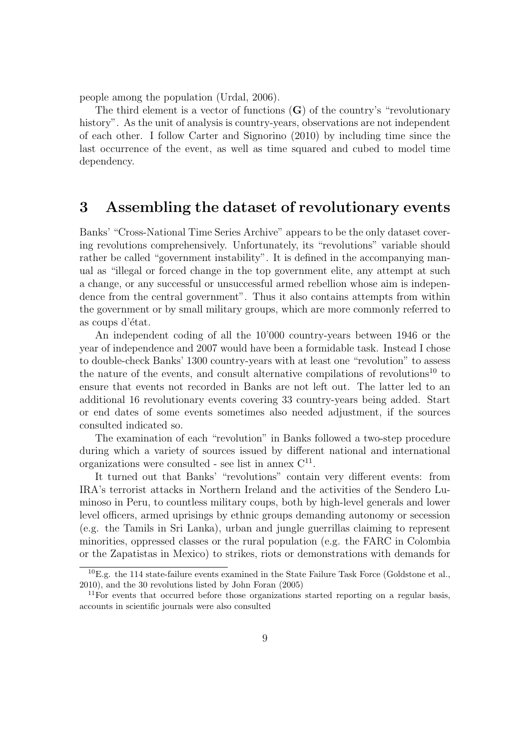people among the population (Urdal, 2006).

The third element is a vector of functions  $(G)$  of the country's "revolutionary" history". As the unit of analysis is country-years, observations are not independent of each other. I follow Carter and Signorino (2010) by including time since the last occurrence of the event, as well as time squared and cubed to model time dependency.

### 3 Assembling the dataset of revolutionary events

Banks' "Cross-National Time Series Archive" appears to be the only dataset covering revolutions comprehensively. Unfortunately, its "revolutions" variable should rather be called "government instability". It is defined in the accompanying manual as "illegal or forced change in the top government elite, any attempt at such a change, or any successful or unsuccessful armed rebellion whose aim is independence from the central government". Thus it also contains attempts from within the government or by small military groups, which are more commonly referred to as coups d'état.

An independent coding of all the 10'000 country-years between 1946 or the year of independence and 2007 would have been a formidable task. Instead I chose to double-check Banks' 1300 country-years with at least one "revolution" to assess the nature of the events, and consult alternative compilations of revolutions<sup>10</sup> to ensure that events not recorded in Banks are not left out. The latter led to an additional 16 revolutionary events covering 33 country-years being added. Start or end dates of some events sometimes also needed adjustment, if the sources consulted indicated so.

The examination of each "revolution" in Banks followed a two-step procedure during which a variety of sources issued by different national and international organizations were consulted - see list in annex  $C^{11}$ .

It turned out that Banks' "revolutions" contain very different events: from IRA's terrorist attacks in Northern Ireland and the activities of the Sendero Luminoso in Peru, to countless military coups, both by high-level generals and lower level officers, armed uprisings by ethnic groups demanding autonomy or secession (e.g. the Tamils in Sri Lanka), urban and jungle guerrillas claiming to represent minorities, oppressed classes or the rural population (e.g. the FARC in Colombia or the Zapatistas in Mexico) to strikes, riots or demonstrations with demands for

<sup>10</sup>E.g. the 114 state-failure events examined in the State Failure Task Force (Goldstone et al., 2010), and the 30 revolutions listed by John Foran (2005)

 $11$  For events that occurred before those organizations started reporting on a regular basis, accounts in scientific journals were also consulted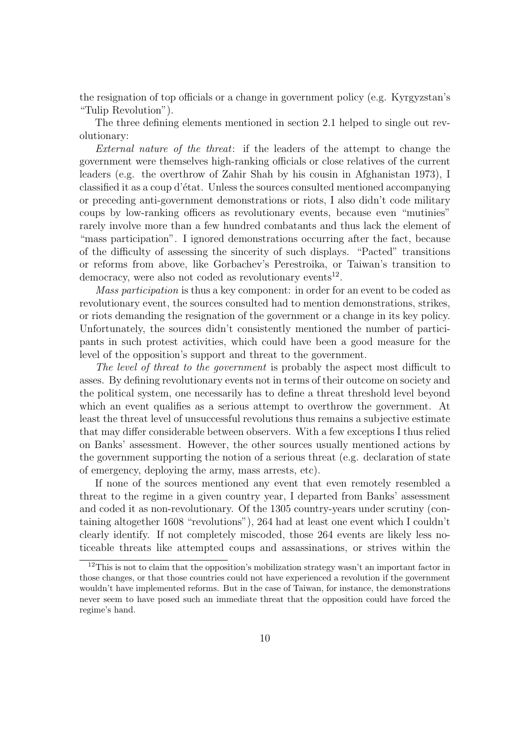the resignation of top officials or a change in government policy (e.g. Kyrgyzstan's "Tulip Revolution").

The three defining elements mentioned in section 2.1 helped to single out revolutionary:

External nature of the threat: if the leaders of the attempt to change the government were themselves high-ranking officials or close relatives of the current leaders (e.g. the overthrow of Zahir Shah by his cousin in Afghanistan 1973), I classified it as a coup d'état. Unless the sources consulted mentioned accompanying or preceding anti-government demonstrations or riots, I also didn't code military coups by low-ranking officers as revolutionary events, because even "mutinies" rarely involve more than a few hundred combatants and thus lack the element of "mass participation". I ignored demonstrations occurring after the fact, because of the difficulty of assessing the sincerity of such displays. "Pacted" transitions or reforms from above, like Gorbachev's Perestroika, or Taiwan's transition to democracy, were also not coded as revolutionary events<sup>12</sup>.

Mass participation is thus a key component: in order for an event to be coded as revolutionary event, the sources consulted had to mention demonstrations, strikes, or riots demanding the resignation of the government or a change in its key policy. Unfortunately, the sources didn't consistently mentioned the number of participants in such protest activities, which could have been a good measure for the level of the opposition's support and threat to the government.

The level of threat to the government is probably the aspect most difficult to asses. By defining revolutionary events not in terms of their outcome on society and the political system, one necessarily has to define a threat threshold level beyond which an event qualifies as a serious attempt to overthrow the government. At least the threat level of unsuccessful revolutions thus remains a subjective estimate that may differ considerable between observers. With a few exceptions I thus relied on Banks' assessment. However, the other sources usually mentioned actions by the government supporting the notion of a serious threat (e.g. declaration of state of emergency, deploying the army, mass arrests, etc).

If none of the sources mentioned any event that even remotely resembled a threat to the regime in a given country year, I departed from Banks' assessment and coded it as non-revolutionary. Of the 1305 country-years under scrutiny (containing altogether 1608 "revolutions"), 264 had at least one event which I couldn't clearly identify. If not completely miscoded, those 264 events are likely less noticeable threats like attempted coups and assassinations, or strives within the

 $12$ This is not to claim that the opposition's mobilization strategy wasn't an important factor in those changes, or that those countries could not have experienced a revolution if the government wouldn't have implemented reforms. But in the case of Taiwan, for instance, the demonstrations never seem to have posed such an immediate threat that the opposition could have forced the regime's hand.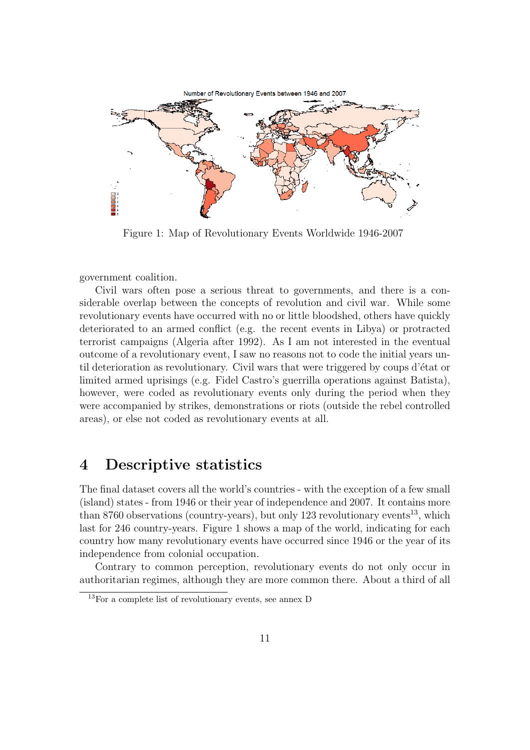

Figure 1: Map of Revolutionary Events Worldwide 1946-2007

government coalition.

Civil wars often pose a serious threat to governments, and there is a considerable overlap between the concepts of revolution and civil war. While some revolutionary events have occurred with no or little bloodshed, others have quickly deteriorated to an armed conflict (e.g. the recent events in Libya) or protracted terrorist campaigns (Algeria after 1992). As I am not interested in the eventual outcome of a revolutionary event, I saw no reasons not to code the initial years until deterioration as revolutionary. Civil wars that were triggered by coups d'état or limited armed uprisings (e.g. Fidel Castro's guerrilla operations against Batista), however, were coded as revolutionary events only during the period when they were accompanied by strikes, demonstrations or riots (outside the rebel controlled areas), or else not coded as revolutionary events at all.

## 4 Descriptive statistics

The final dataset covers all the world's countries - with the exception of a few small (island) states - from 1946 or their year of independence and 2007. It contains more than 8760 observations (country-years), but only 123 revolutionary events<sup>13</sup>, which last for 246 country-years. Figure 1 shows a map of the world, indicating for each country how many revolutionary events have occurred since 1946 or the year of its independence from colonial occupation.

Contrary to common perception, revolutionary events do not only occur in authoritarian regimes, although they are more common there. About a third of all

<sup>13</sup>For a complete list of revolutionary events, see annex D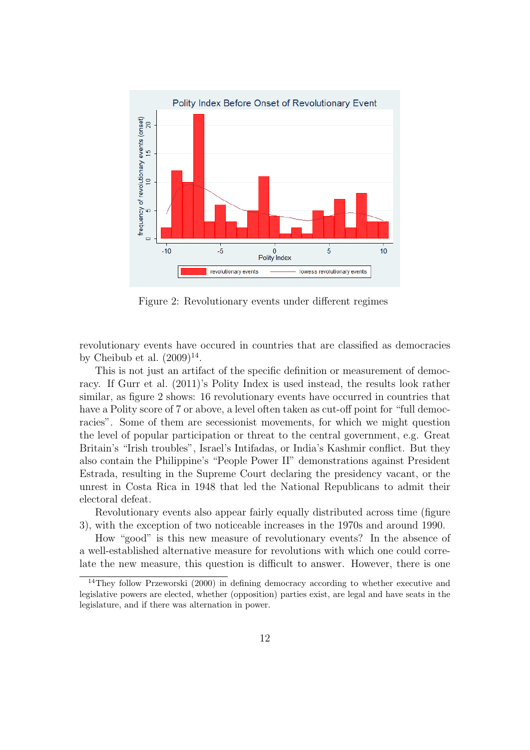

Figure 2: Revolutionary events under different regimes

revolutionary events have occured in countries that are classified as democracies by Cheibub et al.  $(2009)^{14}$ .

This is not just an artifact of the specific definition or measurement of democracy. If Gurr et al. (2011)'s Polity Index is used instead, the results look rather similar, as figure 2 shows: 16 revolutionary events have occurred in countries that have a Polity score of 7 or above, a level often taken as cut-off point for "full democracies". Some of them are secessionist movements, for which we might question the level of popular participation or threat to the central government, e.g. Great Britain's "Irish troubles", Israel's Intifadas, or India's Kashmir conflict. But they also contain the Philippine's "People Power II" demonstrations against President Estrada, resulting in the Supreme Court declaring the presidency vacant, or the unrest in Costa Rica in 1948 that led the National Republicans to admit their electoral defeat.

Revolutionary events also appear fairly equally distributed across time (figure 3), with the exception of two noticeable increases in the 1970s and around 1990.

How "good" is this new measure of revolutionary events? In the absence of a well-established alternative measure for revolutions with which one could correlate the new measure, this question is difficult to answer. However, there is one

<sup>&</sup>lt;sup>14</sup>They follow Przeworski (2000) in defining democracy according to whether executive and legislative powers are elected, whether (opposition) parties exist, are legal and have seats in the legislature, and if there was alternation in power.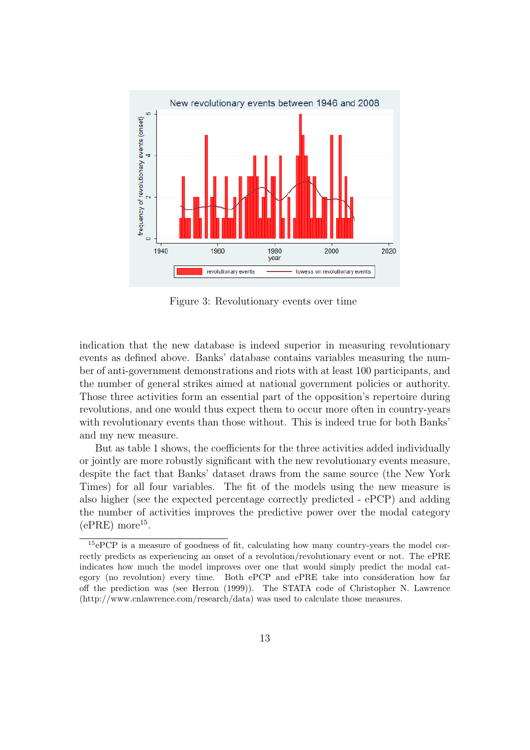

Figure 3: Revolutionary events over time

indication that the new database is indeed superior in measuring revolutionary events as defined above. Banks' database contains variables measuring the number of anti-government demonstrations and riots with at least 100 participants, and the number of general strikes aimed at national government policies or authority. Those three activities form an essential part of the opposition's repertoire during revolutions, and one would thus expect them to occur more often in country-years with revolutionary events than those without. This is indeed true for both Banks' and my new measure.

But as table 1 shows, the coefficients for the three activities added individually or jointly are more robustly significant with the new revolutionary events measure, despite the fact that Banks' dataset draws from the same source (the New York Times) for all four variables. The fit of the models using the new measure is also higher (see the expected percentage correctly predicted - ePCP) and adding the number of activities improves the predictive power over the modal category  $(ePRE)$  more<sup>15</sup>.

<sup>15</sup>ePCP is a measure of goodness of fit, calculating how many country-years the model correctly predicts as experiencing an onset of a revolution/revolutionary event or not. The ePRE indicates how much the model improves over one that would simply predict the modal category (no revolution) every time. Both ePCP and ePRE take into consideration how far off the prediction was (see Herron (1999)). The STATA code of Christopher N. Lawrence (http://www.cnlawrence.com/research/data) was used to calculate those measures.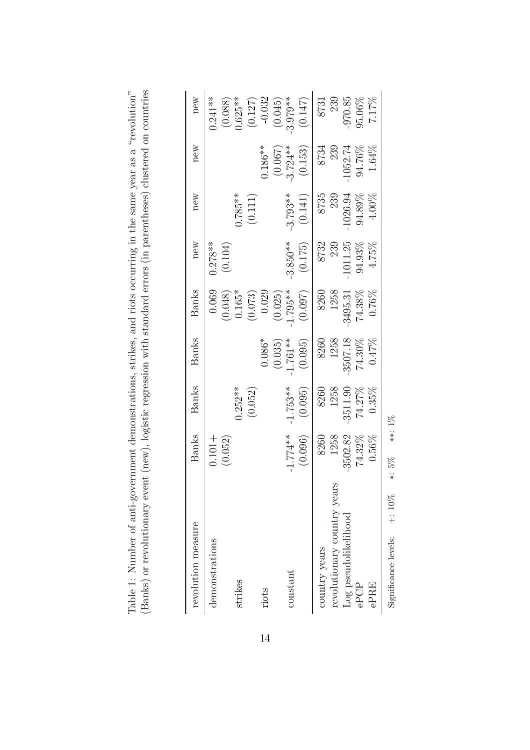| revolution measure               | Banks                | <b>Banks</b> | <b>Banks</b> | Banks               | new                  | new        | new         | new                    |
|----------------------------------|----------------------|--------------|--------------|---------------------|----------------------|------------|-------------|------------------------|
| demonstrations                   | (0.052)<br>$0.101 +$ |              |              | 0.069               | $0.278**$<br>(0.104) |            |             | $0.241**$              |
| strikes                          |                      | $0.252***$   |              | $(0.048)$<br>0.165* |                      | $0.785**$  |             | $(0.088)$<br>$0.625**$ |
|                                  |                      | (0.052)      |              | (0.073)             |                      | (0.111)    |             | (0.127)                |
| riots                            |                      |              | $0.086*$     | 0.029               |                      |            | $0.186**$   | $-0.032$               |
|                                  |                      |              | (0.035)      | (0.025)             |                      |            | (0.067)     | (0.045)                |
| constant                         | $-1.774**$           | $-1.753**$   | $-1.761**$   | $-1.795**$          | $-3.850**$           | $-3.793**$ | $-3.724***$ | $3.979**$              |
|                                  | (0.096)              | (0.095)      | (0.095)      | (0.097)             | (0.175)              | (0.141)    | (0.153)     | (0.147)                |
| country years                    | 8260                 | 8260         |              | 8260                | 8732                 | 8735       | 8734        | 8731                   |
| revolutionary country years      | 1258                 | 1258         | 8260<br>1258 | 1258                | 239                  | 239        | 239         | 239                    |
| Log pseudolikelihood             | 3502.82              | $-3511.90$   | $-3507.18$   | $-3495.31$          | 1011.25              | 1026.94    | $-1052.74$  | 970.85                 |
| ePCP                             | $74.32\%$            | 74.27%       | 74.30%       | 74.38%              | 94.93%               | $94.89\%$  | 94.76%      | 95.06%                 |
| ePRE                             | $0.56\%$             | $0.35\%$     | 0.47%        | $0.76\%$            | 4.75%                | 4.00%      | 1.64%       | $7.17\%$               |
| $+:10\%$<br>Significance levels: | $*: 5\%$             | **: $1\%$    |              |                     |                      |            |             |                        |

Significance levels: +: 10% ∗: 5% ∗∗: 1%

Table 1: Number of anti-government demonstrations, strikes, and riots occurring in the same year as a "revolution" (Banks) or revolutionary event (new), logistic regression with standard errors (in parentheses) clustered (Banks) or revolutionary event (new), logistic regression with standard errors (in parentheses) clustered on countries Table 1: Number of anti-government demonstrations, strikes, and riots occurring in the same year as a "revolution"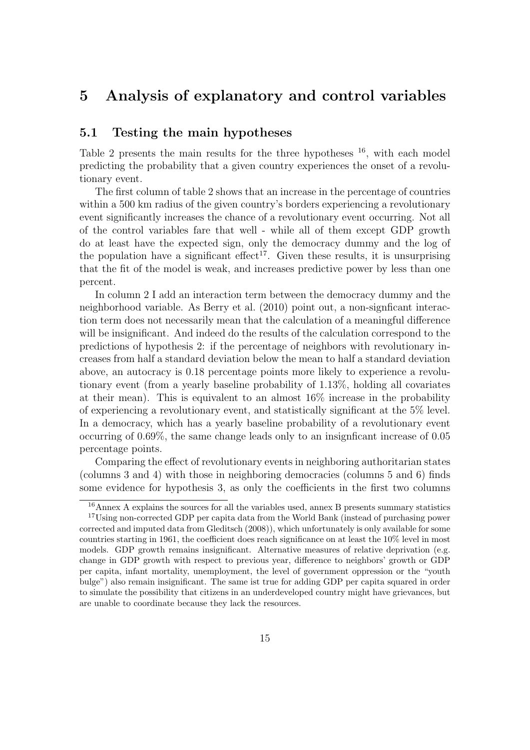## 5 Analysis of explanatory and control variables

#### 5.1 Testing the main hypotheses

Table 2 presents the main results for the three hypotheses  $^{16}$ , with each model predicting the probability that a given country experiences the onset of a revolutionary event.

The first column of table 2 shows that an increase in the percentage of countries within a 500 km radius of the given country's borders experiencing a revolutionary event significantly increases the chance of a revolutionary event occurring. Not all of the control variables fare that well - while all of them except GDP growth do at least have the expected sign, only the democracy dummy and the log of the population have a significant effect<sup>17</sup>. Given these results, it is unsurprising that the fit of the model is weak, and increases predictive power by less than one percent.

In column 2 I add an interaction term between the democracy dummy and the neighborhood variable. As Berry et al. (2010) point out, a non-signficant interaction term does not necessarily mean that the calculation of a meaningful difference will be insignificant. And indeed do the results of the calculation correspond to the predictions of hypothesis 2: if the percentage of neighbors with revolutionary increases from half a standard deviation below the mean to half a standard deviation above, an autocracy is 0.18 percentage points more likely to experience a revolutionary event (from a yearly baseline probability of 1.13%, holding all covariates at their mean). This is equivalent to an almost 16% increase in the probability of experiencing a revolutionary event, and statistically significant at the 5% level. In a democracy, which has a yearly baseline probability of a revolutionary event occurring of 0.69%, the same change leads only to an insignficant increase of 0.05 percentage points.

Comparing the effect of revolutionary events in neighboring authoritarian states (columns 3 and 4) with those in neighboring democracies (columns 5 and 6) finds some evidence for hypothesis 3, as only the coefficients in the first two columns

<sup>16</sup>Annex A explains the sources for all the variables used, annex B presents summary statistics <sup>17</sup>Using non-corrected GDP per capita data from the World Bank (instead of purchasing power corrected and imputed data from Gleditsch (2008)), which unfortunately is only available for some countries starting in 1961, the coefficient does reach significance on at least the 10% level in most models. GDP growth remains insignificant. Alternative measures of relative deprivation (e.g. change in GDP growth with respect to previous year, difference to neighbors' growth or GDP per capita, infant mortality, unemployment, the level of government oppression or the "youth bulge") also remain insignificant. The same ist true for adding GDP per capita squared in order to simulate the possibility that citizens in an underdeveloped country might have grievances, but are unable to coordinate because they lack the resources.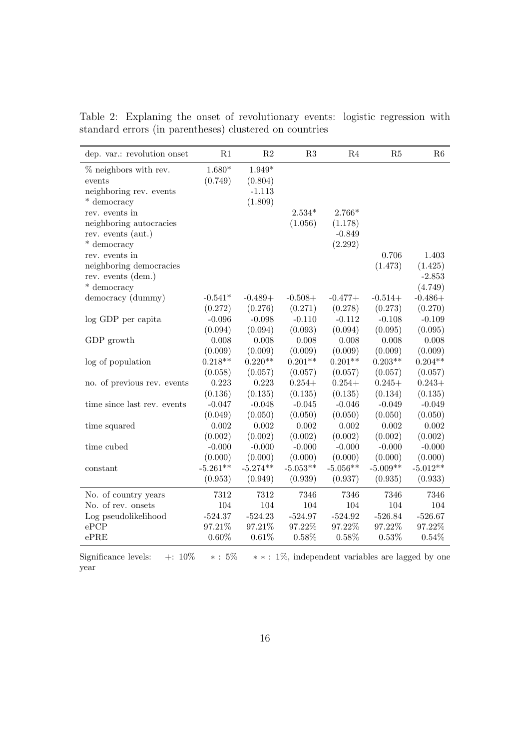| dep. var.: revolution onset | R1         | $\mathbf{R}2$ | R3         | R4         | R5         | R6         |
|-----------------------------|------------|---------------|------------|------------|------------|------------|
| % neighbors with rev.       | $1.680*$   | $1.949*$      |            |            |            |            |
| events                      | (0.749)    | (0.804)       |            |            |            |            |
| neighboring rev. events     |            | $-1.113$      |            |            |            |            |
| * democracy                 |            | (1.809)       |            |            |            |            |
| rev. events in              |            |               | $2.534*$   | $2.766*$   |            |            |
| neighboring autocracies     |            |               | (1.056)    | (1.178)    |            |            |
| rev. events (aut.)          |            |               |            | $-0.849$   |            |            |
| * democracy                 |            |               |            | (2.292)    |            |            |
| rev. events in              |            |               |            |            | 0.706      | 1.403      |
| neighboring democracies     |            |               |            |            | (1.473)    | (1.425)    |
| rev. events (dem.)          |            |               |            |            |            | $-2.853$   |
| * democracy                 |            |               |            |            |            | (4.749)    |
| democracy (dummy)           | $-0.541*$  | $-0.489+$     | $-0.508+$  | $-0.477+$  | $-0.514+$  | $-0.486+$  |
|                             | (0.272)    | (0.276)       | (0.271)    | (0.278)    | (0.273)    | (0.270)    |
| log GDP per capita          | $-0.096$   | $-0.098$      | $-0.110$   | $-0.112$   | $-0.108$   | $-0.109$   |
|                             | (0.094)    | (0.094)       | (0.093)    | (0.094)    | (0.095)    | (0.095)    |
| GDP growth                  | 0.008      | 0.008         | 0.008      | 0.008      | 0.008      | 0.008      |
|                             | (0.009)    | (0.009)       | (0.009)    | (0.009)    | (0.009)    | (0.009)    |
| log of population           | $0.218**$  | $0.220**$     | $0.201**$  | $0.201**$  | $0.203**$  | $0.204**$  |
|                             | (0.058)    | (0.057)       | (0.057)    | (0.057)    | (0.057)    | (0.057)    |
| no. of previous rev. events | 0.223      | 0.223         | $0.254+$   | $0.254+$   | $0.245+$   | $0.243+$   |
|                             | (0.136)    | (0.135)       | (0.135)    | (0.135)    | (0.134)    | (0.135)    |
| time since last rev. events | $-0.047$   | $-0.048$      | $-0.045$   | $-0.046$   | $-0.049$   | $-0.049$   |
|                             | (0.049)    | (0.050)       | (0.050)    | (0.050)    | (0.050)    | (0.050)    |
| time squared                | 0.002      | 0.002         | 0.002      | 0.002      | 0.002      | 0.002      |
|                             | (0.002)    | (0.002)       | (0.002)    | (0.002)    | (0.002)    | (0.002)    |
| time cubed                  | $-0.000$   | $-0.000$      | $-0.000$   | $-0.000$   | $-0.000$   | $-0.000$   |
|                             | (0.000)    | (0.000)       | (0.000)    | (0.000)    | (0.000)    | (0.000)    |
| constant                    | $-5.261**$ | $-5.274**$    | $-5.053**$ | $-5.056**$ | $-5.009**$ | $-5.012**$ |
|                             | (0.953)    | (0.949)       | (0.939)    | (0.937)    | (0.935)    | (0.933)    |
| No. of country years        | 7312       | 7312          | 7346       | 7346       | 7346       | 7346       |
| No. of rev. onsets          | 104        | 104           | 104        | 104        | 104        | 104        |
| Log pseudolikelihood        | $-524.37$  | $-524.23$     | $-524.97$  | $-524.92$  | $-526.84$  | $-526.67$  |
| ePCP                        | 97.21%     | 97.21%        | 97.22%     | 97.22%     | 97.22%     | 97.22%     |
| $e{\rm PRE}$                | $0.60\%$   | 0.61%         | 0.58%      | 0.58%      | 0.53%      | 0.54%      |

Table 2: Explaning the onset of revolutionary events: logistic regression with standard errors (in parentheses) clustered on countries

Significance levels: +: 10% ∗ : 5% ∗ ∗ : 1%, independent variables are lagged by one year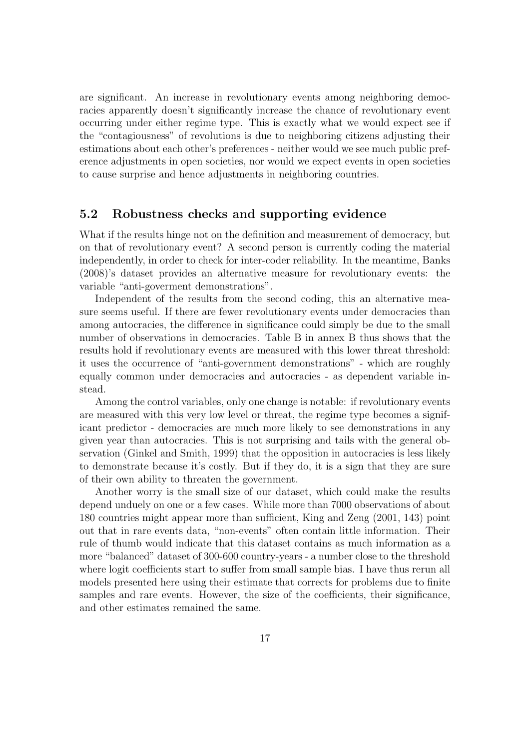are significant. An increase in revolutionary events among neighboring democracies apparently doesn't significantly increase the chance of revolutionary event occurring under either regime type. This is exactly what we would expect see if the "contagiousness" of revolutions is due to neighboring citizens adjusting their estimations about each other's preferences - neither would we see much public preference adjustments in open societies, nor would we expect events in open societies to cause surprise and hence adjustments in neighboring countries.

#### 5.2 Robustness checks and supporting evidence

What if the results hinge not on the definition and measurement of democracy, but on that of revolutionary event? A second person is currently coding the material independently, in order to check for inter-coder reliability. In the meantime, Banks (2008)'s dataset provides an alternative measure for revolutionary events: the variable "anti-goverment demonstrations".

Independent of the results from the second coding, this an alternative measure seems useful. If there are fewer revolutionary events under democracies than among autocracies, the difference in significance could simply be due to the small number of observations in democracies. Table B in annex B thus shows that the results hold if revolutionary events are measured with this lower threat threshold: it uses the occurrence of "anti-government demonstrations" - which are roughly equally common under democracies and autocracies - as dependent variable instead.

Among the control variables, only one change is notable: if revolutionary events are measured with this very low level or threat, the regime type becomes a significant predictor - democracies are much more likely to see demonstrations in any given year than autocracies. This is not surprising and tails with the general observation (Ginkel and Smith, 1999) that the opposition in autocracies is less likely to demonstrate because it's costly. But if they do, it is a sign that they are sure of their own ability to threaten the government.

Another worry is the small size of our dataset, which could make the results depend unduely on one or a few cases. While more than 7000 observations of about 180 countries might appear more than sufficient, King and Zeng (2001, 143) point out that in rare events data, "non-events" often contain little information. Their rule of thumb would indicate that this dataset contains as much information as a more "balanced" dataset of 300-600 country-years - a number close to the threshold where logit coefficients start to suffer from small sample bias. I have thus rerun all models presented here using their estimate that corrects for problems due to finite samples and rare events. However, the size of the coefficients, their significance, and other estimates remained the same.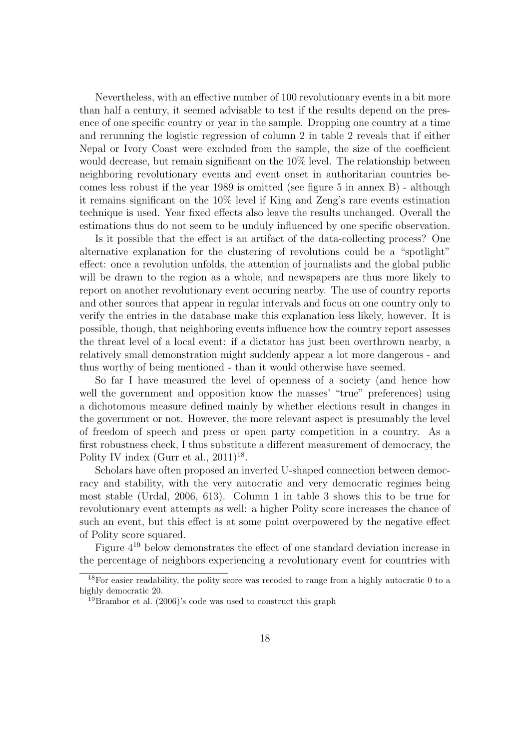Nevertheless, with an effective number of 100 revolutionary events in a bit more than half a century, it seemed advisable to test if the results depend on the presence of one specific country or year in the sample. Dropping one country at a time and rerunning the logistic regression of column 2 in table 2 reveals that if either Nepal or Ivory Coast were excluded from the sample, the size of the coefficient would decrease, but remain significant on the  $10\%$  level. The relationship between neighboring revolutionary events and event onset in authoritarian countries becomes less robust if the year 1989 is omitted (see figure 5 in annex B) - although it remains significant on the 10% level if King and Zeng's rare events estimation technique is used. Year fixed effects also leave the results unchanged. Overall the estimations thus do not seem to be unduly influenced by one specific observation.

Is it possible that the effect is an artifact of the data-collecting process? One alternative explanation for the clustering of revolutions could be a "spotlight" effect: once a revolution unfolds, the attention of journalists and the global public will be drawn to the region as a whole, and newspapers are thus more likely to report on another revolutionary event occuring nearby. The use of country reports and other sources that appear in regular intervals and focus on one country only to verify the entries in the database make this explanation less likely, however. It is possible, though, that neighboring events influence how the country report assesses the threat level of a local event: if a dictator has just been overthrown nearby, a relatively small demonstration might suddenly appear a lot more dangerous - and thus worthy of being mentioned - than it would otherwise have seemed.

So far I have measured the level of openness of a society (and hence how well the government and opposition know the masses' "true" preferences) using a dichotomous measure defined mainly by whether elections result in changes in the government or not. However, the more relevant aspect is presumably the level of freedom of speech and press or open party competition in a country. As a first robustness check, I thus substitute a different measurement of democracy, the Polity IV index (Gurr et al.,  $2011$ )<sup>18</sup>.

Scholars have often proposed an inverted U-shaped connection between democracy and stability, with the very autocratic and very democratic regimes being most stable (Urdal, 2006, 613). Column 1 in table 3 shows this to be true for revolutionary event attempts as well: a higher Polity score increases the chance of such an event, but this effect is at some point overpowered by the negative effect of Polity score squared.

Figure 4<sup>19</sup> below demonstrates the effect of one standard deviation increase in the percentage of neighbors experiencing a revolutionary event for countries with

 $18$ For easier readability, the polity score was recoded to range from a highly autocratic 0 to a highly democratic 20.

 $19B$ rambor et al. (2006)'s code was used to construct this graph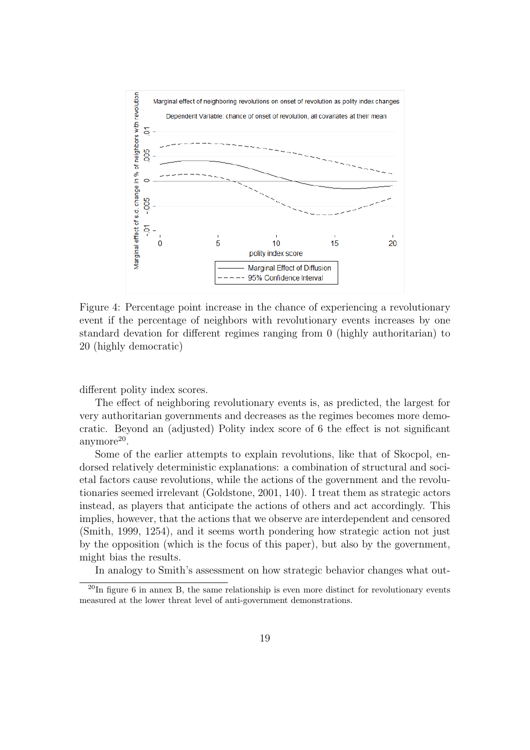

Figure 4: Percentage point increase in the chance of experiencing a revolutionary event if the percentage of neighbors with revolutionary events increases by one standard devation for different regimes ranging from 0 (highly authoritarian) to 20 (highly democratic)

different polity index scores.

The effect of neighboring revolutionary events is, as predicted, the largest for very authoritarian governments and decreases as the regimes becomes more democratic. Beyond an (adjusted) Polity index score of 6 the effect is not significant anymore<sup>20</sup>.

Some of the earlier attempts to explain revolutions, like that of Skocpol, endorsed relatively deterministic explanations: a combination of structural and societal factors cause revolutions, while the actions of the government and the revolutionaries seemed irrelevant (Goldstone, 2001, 140). I treat them as strategic actors instead, as players that anticipate the actions of others and act accordingly. This implies, however, that the actions that we observe are interdependent and censored (Smith, 1999, 1254), and it seems worth pondering how strategic action not just by the opposition (which is the focus of this paper), but also by the government, might bias the results.

In analogy to Smith's assessment on how strategic behavior changes what out-

 $^{20}$ In figure 6 in annex B, the same relationship is even more distinct for revolutionary events measured at the lower threat level of anti-government demonstrations.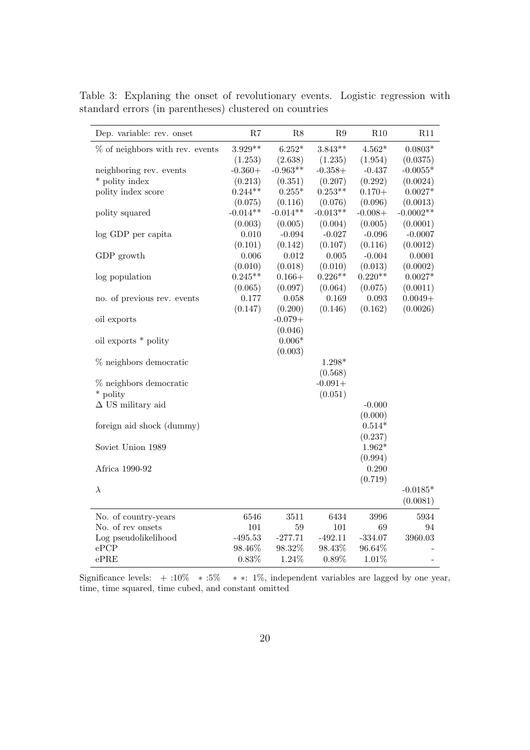| $3.929**$<br>$6.252*$<br>$3.843**$<br>$4.562*$<br>$0.0803*$<br>$%$ of neighbors with rev. events<br>(1.253)<br>(2.638)<br>(1.235)<br>(1.954)<br>(0.0375)<br>$-0.963**$<br>$-0.360+$<br>$-0.358+$<br>$-0.437$<br>$-0.0055*$<br>neighboring rev. events<br>* polity index<br>(0.292)<br>(0.213)<br>(0.351)<br>(0.207)<br>(0.0024)<br>$0.253**$<br>polity index score<br>$0.244**$<br>$0.255*$<br>$0.170 +$<br>$0.0027*$<br>(0.096)<br>(0.075)<br>(0.116)<br>(0.076)<br>(0.0013)<br>$-0.014**$<br>$-0.014**$<br>$-0.0002**$<br>$-0.013**$<br>$-0.008+$<br>polity squared<br>(0.003)<br>(0.005)<br>(0.005)<br>(0.0001)<br>(0.004)<br>0.010<br>$-0.094$<br>$-0.027$<br>$-0.096$<br>$-0.0007$<br>log GDP per capita<br>(0.101)<br>(0.142)<br>(0.107)<br>(0.116)<br>(0.0012)<br>GDP growth<br>0.006<br>0.012<br>0.005<br>$-0.004$<br>0.0001<br>(0.010)<br>(0.018)<br>(0.010)<br>(0.013)<br>(0.0002)<br>$0.245**$<br>$0.226**$<br>$0.220**$<br>$0.166+$<br>$0.0027*$<br>log population<br>(0.097)<br>(0.0011)<br>(0.065)<br>(0.064)<br>(0.075)<br>$0.0049 +$<br>0.177<br>0.058<br>0.169<br>$\,0.093\,$<br>no. of previous rev. events<br>(0.147)<br>(0.200)<br>(0.146)<br>(0.162)<br>(0.0026)<br>oil exports<br>$-0.079+$<br>(0.046)<br>$0.006*$<br>oil exports * polity<br>(0.003)<br>$%$ neighbors democratic<br>$1.298*$ |
|---------------------------------------------------------------------------------------------------------------------------------------------------------------------------------------------------------------------------------------------------------------------------------------------------------------------------------------------------------------------------------------------------------------------------------------------------------------------------------------------------------------------------------------------------------------------------------------------------------------------------------------------------------------------------------------------------------------------------------------------------------------------------------------------------------------------------------------------------------------------------------------------------------------------------------------------------------------------------------------------------------------------------------------------------------------------------------------------------------------------------------------------------------------------------------------------------------------------------------------------------------------------------------------------------------------------|
|                                                                                                                                                                                                                                                                                                                                                                                                                                                                                                                                                                                                                                                                                                                                                                                                                                                                                                                                                                                                                                                                                                                                                                                                                                                                                                                     |
|                                                                                                                                                                                                                                                                                                                                                                                                                                                                                                                                                                                                                                                                                                                                                                                                                                                                                                                                                                                                                                                                                                                                                                                                                                                                                                                     |
|                                                                                                                                                                                                                                                                                                                                                                                                                                                                                                                                                                                                                                                                                                                                                                                                                                                                                                                                                                                                                                                                                                                                                                                                                                                                                                                     |
|                                                                                                                                                                                                                                                                                                                                                                                                                                                                                                                                                                                                                                                                                                                                                                                                                                                                                                                                                                                                                                                                                                                                                                                                                                                                                                                     |
|                                                                                                                                                                                                                                                                                                                                                                                                                                                                                                                                                                                                                                                                                                                                                                                                                                                                                                                                                                                                                                                                                                                                                                                                                                                                                                                     |
|                                                                                                                                                                                                                                                                                                                                                                                                                                                                                                                                                                                                                                                                                                                                                                                                                                                                                                                                                                                                                                                                                                                                                                                                                                                                                                                     |
|                                                                                                                                                                                                                                                                                                                                                                                                                                                                                                                                                                                                                                                                                                                                                                                                                                                                                                                                                                                                                                                                                                                                                                                                                                                                                                                     |
|                                                                                                                                                                                                                                                                                                                                                                                                                                                                                                                                                                                                                                                                                                                                                                                                                                                                                                                                                                                                                                                                                                                                                                                                                                                                                                                     |
|                                                                                                                                                                                                                                                                                                                                                                                                                                                                                                                                                                                                                                                                                                                                                                                                                                                                                                                                                                                                                                                                                                                                                                                                                                                                                                                     |
|                                                                                                                                                                                                                                                                                                                                                                                                                                                                                                                                                                                                                                                                                                                                                                                                                                                                                                                                                                                                                                                                                                                                                                                                                                                                                                                     |
|                                                                                                                                                                                                                                                                                                                                                                                                                                                                                                                                                                                                                                                                                                                                                                                                                                                                                                                                                                                                                                                                                                                                                                                                                                                                                                                     |
|                                                                                                                                                                                                                                                                                                                                                                                                                                                                                                                                                                                                                                                                                                                                                                                                                                                                                                                                                                                                                                                                                                                                                                                                                                                                                                                     |
|                                                                                                                                                                                                                                                                                                                                                                                                                                                                                                                                                                                                                                                                                                                                                                                                                                                                                                                                                                                                                                                                                                                                                                                                                                                                                                                     |
|                                                                                                                                                                                                                                                                                                                                                                                                                                                                                                                                                                                                                                                                                                                                                                                                                                                                                                                                                                                                                                                                                                                                                                                                                                                                                                                     |
|                                                                                                                                                                                                                                                                                                                                                                                                                                                                                                                                                                                                                                                                                                                                                                                                                                                                                                                                                                                                                                                                                                                                                                                                                                                                                                                     |
|                                                                                                                                                                                                                                                                                                                                                                                                                                                                                                                                                                                                                                                                                                                                                                                                                                                                                                                                                                                                                                                                                                                                                                                                                                                                                                                     |
|                                                                                                                                                                                                                                                                                                                                                                                                                                                                                                                                                                                                                                                                                                                                                                                                                                                                                                                                                                                                                                                                                                                                                                                                                                                                                                                     |
|                                                                                                                                                                                                                                                                                                                                                                                                                                                                                                                                                                                                                                                                                                                                                                                                                                                                                                                                                                                                                                                                                                                                                                                                                                                                                                                     |
|                                                                                                                                                                                                                                                                                                                                                                                                                                                                                                                                                                                                                                                                                                                                                                                                                                                                                                                                                                                                                                                                                                                                                                                                                                                                                                                     |
|                                                                                                                                                                                                                                                                                                                                                                                                                                                                                                                                                                                                                                                                                                                                                                                                                                                                                                                                                                                                                                                                                                                                                                                                                                                                                                                     |
|                                                                                                                                                                                                                                                                                                                                                                                                                                                                                                                                                                                                                                                                                                                                                                                                                                                                                                                                                                                                                                                                                                                                                                                                                                                                                                                     |
| (0.568)                                                                                                                                                                                                                                                                                                                                                                                                                                                                                                                                                                                                                                                                                                                                                                                                                                                                                                                                                                                                                                                                                                                                                                                                                                                                                                             |
| % neighbors democratic<br>$-0.091+$                                                                                                                                                                                                                                                                                                                                                                                                                                                                                                                                                                                                                                                                                                                                                                                                                                                                                                                                                                                                                                                                                                                                                                                                                                                                                 |
| * polity<br>(0.051)                                                                                                                                                                                                                                                                                                                                                                                                                                                                                                                                                                                                                                                                                                                                                                                                                                                                                                                                                                                                                                                                                                                                                                                                                                                                                                 |
| $\Delta$ US military aid<br>$-0.000$                                                                                                                                                                                                                                                                                                                                                                                                                                                                                                                                                                                                                                                                                                                                                                                                                                                                                                                                                                                                                                                                                                                                                                                                                                                                                |
| (0.000)                                                                                                                                                                                                                                                                                                                                                                                                                                                                                                                                                                                                                                                                                                                                                                                                                                                                                                                                                                                                                                                                                                                                                                                                                                                                                                             |
| $0.514*$<br>foreign aid shock (dummy)                                                                                                                                                                                                                                                                                                                                                                                                                                                                                                                                                                                                                                                                                                                                                                                                                                                                                                                                                                                                                                                                                                                                                                                                                                                                               |
| (0.237)                                                                                                                                                                                                                                                                                                                                                                                                                                                                                                                                                                                                                                                                                                                                                                                                                                                                                                                                                                                                                                                                                                                                                                                                                                                                                                             |
| $1.962*$<br>Soviet Union 1989                                                                                                                                                                                                                                                                                                                                                                                                                                                                                                                                                                                                                                                                                                                                                                                                                                                                                                                                                                                                                                                                                                                                                                                                                                                                                       |
| (0.994)                                                                                                                                                                                                                                                                                                                                                                                                                                                                                                                                                                                                                                                                                                                                                                                                                                                                                                                                                                                                                                                                                                                                                                                                                                                                                                             |
| 0.290<br>Africa 1990-92                                                                                                                                                                                                                                                                                                                                                                                                                                                                                                                                                                                                                                                                                                                                                                                                                                                                                                                                                                                                                                                                                                                                                                                                                                                                                             |
| (0.719)                                                                                                                                                                                                                                                                                                                                                                                                                                                                                                                                                                                                                                                                                                                                                                                                                                                                                                                                                                                                                                                                                                                                                                                                                                                                                                             |
| $\lambda$<br>$-0.0185*$                                                                                                                                                                                                                                                                                                                                                                                                                                                                                                                                                                                                                                                                                                                                                                                                                                                                                                                                                                                                                                                                                                                                                                                                                                                                                             |
| (0.0081)                                                                                                                                                                                                                                                                                                                                                                                                                                                                                                                                                                                                                                                                                                                                                                                                                                                                                                                                                                                                                                                                                                                                                                                                                                                                                                            |
| 6434<br>No. of country-years<br>6546<br>3511<br>3996<br>5934                                                                                                                                                                                                                                                                                                                                                                                                                                                                                                                                                                                                                                                                                                                                                                                                                                                                                                                                                                                                                                                                                                                                                                                                                                                        |
| No. of rev onsets<br>101<br>59<br>101<br>69<br>94                                                                                                                                                                                                                                                                                                                                                                                                                                                                                                                                                                                                                                                                                                                                                                                                                                                                                                                                                                                                                                                                                                                                                                                                                                                                   |
| Log pseudolikelihood<br>$-495.53$<br>$-277.71$<br>$-492.11$<br>$-334.07$<br>3960.03                                                                                                                                                                                                                                                                                                                                                                                                                                                                                                                                                                                                                                                                                                                                                                                                                                                                                                                                                                                                                                                                                                                                                                                                                                 |
| ePCP<br>98.46%<br>98.32%<br>98.43%<br>96.64%                                                                                                                                                                                                                                                                                                                                                                                                                                                                                                                                                                                                                                                                                                                                                                                                                                                                                                                                                                                                                                                                                                                                                                                                                                                                        |
| 0.83%<br>1.24%<br>ePRE<br>0.89%<br>1.01%                                                                                                                                                                                                                                                                                                                                                                                                                                                                                                                                                                                                                                                                                                                                                                                                                                                                                                                                                                                                                                                                                                                                                                                                                                                                            |

Table 3: Explaning the onset of revolutionary events. Logistic regression with standard errors (in parentheses) clustered on countries

Significance levels:  $+:10\%$  \* :5% \* \*: 1%, independent variables are lagged by one year, time, time squared, time cubed, and constant omitted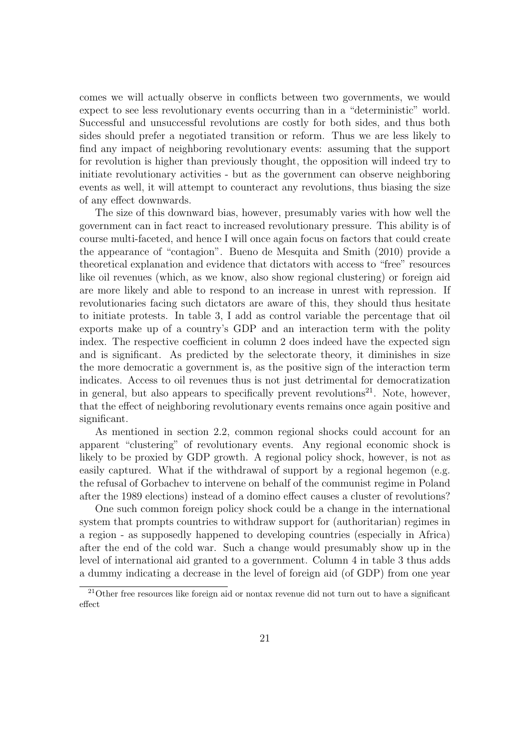comes we will actually observe in conflicts between two governments, we would expect to see less revolutionary events occurring than in a "deterministic" world. Successful and unsuccessful revolutions are costly for both sides, and thus both sides should prefer a negotiated transition or reform. Thus we are less likely to find any impact of neighboring revolutionary events: assuming that the support for revolution is higher than previously thought, the opposition will indeed try to initiate revolutionary activities - but as the government can observe neighboring events as well, it will attempt to counteract any revolutions, thus biasing the size of any effect downwards.

The size of this downward bias, however, presumably varies with how well the government can in fact react to increased revolutionary pressure. This ability is of course multi-faceted, and hence I will once again focus on factors that could create the appearance of "contagion". Bueno de Mesquita and Smith (2010) provide a theoretical explanation and evidence that dictators with access to "free" resources like oil revenues (which, as we know, also show regional clustering) or foreign aid are more likely and able to respond to an increase in unrest with repression. If revolutionaries facing such dictators are aware of this, they should thus hesitate to initiate protests. In table 3, I add as control variable the percentage that oil exports make up of a country's GDP and an interaction term with the polity index. The respective coefficient in column 2 does indeed have the expected sign and is significant. As predicted by the selectorate theory, it diminishes in size the more democratic a government is, as the positive sign of the interaction term indicates. Access to oil revenues thus is not just detrimental for democratization in general, but also appears to specifically prevent revolutions<sup>21</sup>. Note, however, that the effect of neighboring revolutionary events remains once again positive and significant.

As mentioned in section 2.2, common regional shocks could account for an apparent "clustering" of revolutionary events. Any regional economic shock is likely to be proxied by GDP growth. A regional policy shock, however, is not as easily captured. What if the withdrawal of support by a regional hegemon (e.g. the refusal of Gorbachev to intervene on behalf of the communist regime in Poland after the 1989 elections) instead of a domino effect causes a cluster of revolutions?

One such common foreign policy shock could be a change in the international system that prompts countries to withdraw support for (authoritarian) regimes in a region - as supposedly happened to developing countries (especially in Africa) after the end of the cold war. Such a change would presumably show up in the level of international aid granted to a government. Column 4 in table 3 thus adds a dummy indicating a decrease in the level of foreign aid (of GDP) from one year

<sup>21</sup>Other free resources like foreign aid or nontax revenue did not turn out to have a significant effect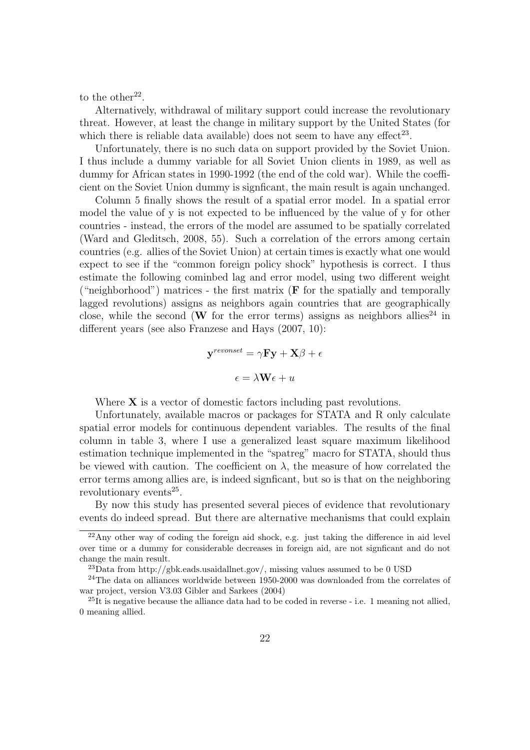to the other<sup>22</sup>.

Alternatively, withdrawal of military support could increase the revolutionary threat. However, at least the change in military support by the United States (for which there is reliable data available) does not seem to have any effect<sup>23</sup>.

Unfortunately, there is no such data on support provided by the Soviet Union. I thus include a dummy variable for all Soviet Union clients in 1989, as well as dummy for African states in 1990-1992 (the end of the cold war). While the coefficient on the Soviet Union dummy is signficant, the main result is again unchanged.

Column 5 finally shows the result of a spatial error model. In a spatial error model the value of y is not expected to be influenced by the value of y for other countries - instead, the errors of the model are assumed to be spatially correlated (Ward and Gleditsch, 2008, 55). Such a correlation of the errors among certain countries (e.g. allies of the Soviet Union) at certain times is exactly what one would expect to see if the "common foreign policy shock" hypothesis is correct. I thus estimate the following cominbed lag and error model, using two different weight ("neighborhood") matrices - the first matrix  $(F$  for the spatially and temporally lagged revolutions) assigns as neighbors again countries that are geographically close, while the second (W for the error terms) assigns as neighbors allies<sup>24</sup> in different years (see also Franzese and Hays (2007, 10):

$$
\mathbf{y}^{revonset} = \gamma \mathbf{F} \mathbf{y} + \mathbf{X}\beta + \epsilon
$$

$$
\epsilon = \lambda \mathbf{W} \epsilon + u
$$

Where  $X$  is a vector of domestic factors including past revolutions.

Unfortunately, available macros or packages for STATA and R only calculate spatial error models for continuous dependent variables. The results of the final column in table 3, where I use a generalized least square maximum likelihood estimation technique implemented in the "spatreg" macro for STATA, should thus be viewed with caution. The coefficient on  $\lambda$ , the measure of how correlated the error terms among allies are, is indeed signficant, but so is that on the neighboring revolutionary events<sup>25</sup>.

By now this study has presented several pieces of evidence that revolutionary events do indeed spread. But there are alternative mechanisms that could explain

<sup>22</sup>Any other way of coding the foreign aid shock, e.g. just taking the difference in aid level over time or a dummy for considerable decreases in foreign aid, are not signficant and do not change the main result.

 $^{23}$ Data from http://gbk.eads.usaidallnet.gov/, missing values assumed to be 0 USD

<sup>&</sup>lt;sup>24</sup>The data on alliances worldwide between 1950-2000 was downloaded from the correlates of war project, version V3.03 Gibler and Sarkees (2004)

 $^{25}$ It is negative because the alliance data had to be coded in reverse - i.e. 1 meaning not allied, 0 meaning allied.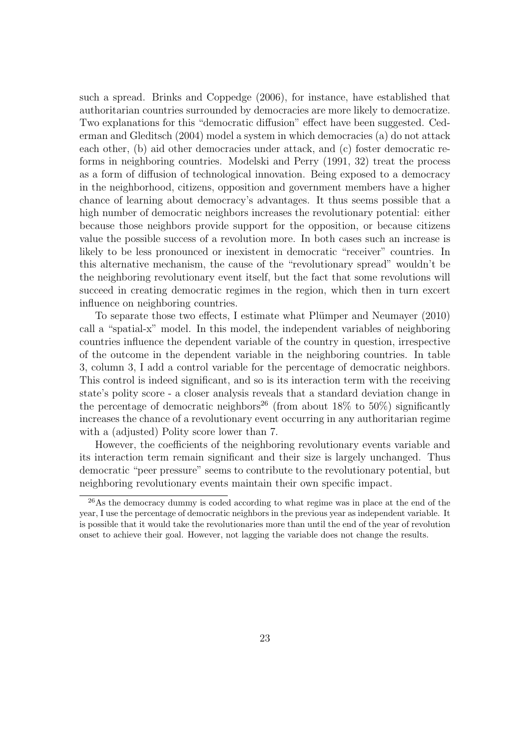such a spread. Brinks and Coppedge (2006), for instance, have established that authoritarian countries surrounded by democracies are more likely to democratize. Two explanations for this "democratic diffusion" effect have been suggested. Cederman and Gleditsch (2004) model a system in which democracies (a) do not attack each other, (b) aid other democracies under attack, and (c) foster democratic reforms in neighboring countries. Modelski and Perry (1991, 32) treat the process as a form of diffusion of technological innovation. Being exposed to a democracy in the neighborhood, citizens, opposition and government members have a higher chance of learning about democracy's advantages. It thus seems possible that a high number of democratic neighbors increases the revolutionary potential: either because those neighbors provide support for the opposition, or because citizens value the possible success of a revolution more. In both cases such an increase is likely to be less pronounced or inexistent in democratic "receiver" countries. In this alternative mechanism, the cause of the "revolutionary spread" wouldn't be the neighboring revolutionary event itself, but the fact that some revolutions will succeed in creating democratic regimes in the region, which then in turn excert influence on neighboring countries.

To separate those two effects, I estimate what Plümper and Neumayer (2010) call a "spatial-x" model. In this model, the independent variables of neighboring countries influence the dependent variable of the country in question, irrespective of the outcome in the dependent variable in the neighboring countries. In table 3, column 3, I add a control variable for the percentage of democratic neighbors. This control is indeed significant, and so is its interaction term with the receiving state's polity score - a closer analysis reveals that a standard deviation change in the percentage of democratic neighbors<sup>26</sup> (from about 18\% to 50\%) significantly increases the chance of a revolutionary event occurring in any authoritarian regime with a (adjusted) Polity score lower than 7.

However, the coefficients of the neighboring revolutionary events variable and its interaction term remain significant and their size is largely unchanged. Thus democratic "peer pressure" seems to contribute to the revolutionary potential, but neighboring revolutionary events maintain their own specific impact.

<sup>&</sup>lt;sup>26</sup>As the democracy dummy is coded according to what regime was in place at the end of the year, I use the percentage of democratic neighbors in the previous year as independent variable. It is possible that it would take the revolutionaries more than until the end of the year of revolution onset to achieve their goal. However, not lagging the variable does not change the results.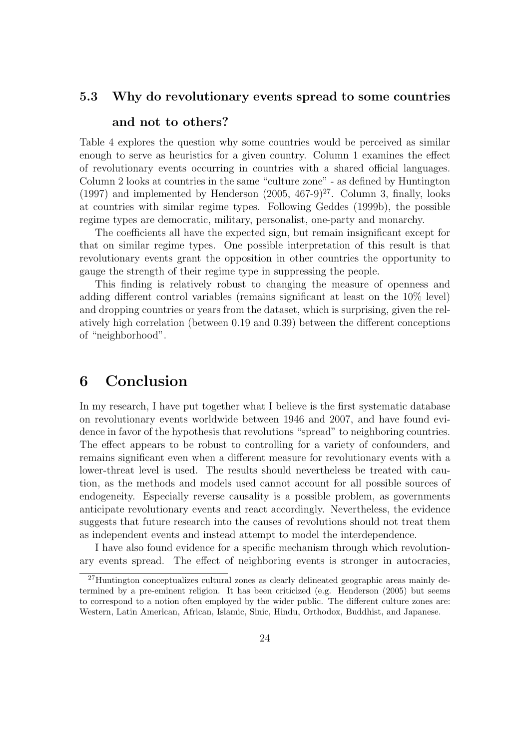#### 5.3 Why do revolutionary events spread to some countries

#### and not to others?

Table 4 explores the question why some countries would be perceived as similar enough to serve as heuristics for a given country. Column 1 examines the effect of revolutionary events occurring in countries with a shared official languages. Column 2 looks at countries in the same "culture zone" - as defined by Huntington (1997) and implemented by Henderson  $(2005, 467-9)^{27}$ . Column 3, finally, looks at countries with similar regime types. Following Geddes (1999b), the possible regime types are democratic, military, personalist, one-party and monarchy.

The coefficients all have the expected sign, but remain insignificant except for that on similar regime types. One possible interpretation of this result is that revolutionary events grant the opposition in other countries the opportunity to gauge the strength of their regime type in suppressing the people.

This finding is relatively robust to changing the measure of openness and adding different control variables (remains significant at least on the 10% level) and dropping countries or years from the dataset, which is surprising, given the relatively high correlation (between 0.19 and 0.39) between the different conceptions of "neighborhood".

### 6 Conclusion

In my research, I have put together what I believe is the first systematic database on revolutionary events worldwide between 1946 and 2007, and have found evidence in favor of the hypothesis that revolutions "spread" to neighboring countries. The effect appears to be robust to controlling for a variety of confounders, and remains significant even when a different measure for revolutionary events with a lower-threat level is used. The results should nevertheless be treated with caution, as the methods and models used cannot account for all possible sources of endogeneity. Especially reverse causality is a possible problem, as governments anticipate revolutionary events and react accordingly. Nevertheless, the evidence suggests that future research into the causes of revolutions should not treat them as independent events and instead attempt to model the interdependence.

I have also found evidence for a specific mechanism through which revolutionary events spread. The effect of neighboring events is stronger in autocracies,

<sup>27</sup>Huntington conceptualizes cultural zones as clearly delineated geographic areas mainly determined by a pre-eminent religion. It has been criticized (e.g. Henderson (2005) but seems to correspond to a notion often employed by the wider public. The different culture zones are: Western, Latin American, African, Islamic, Sinic, Hindu, Orthodox, Buddhist, and Japanese.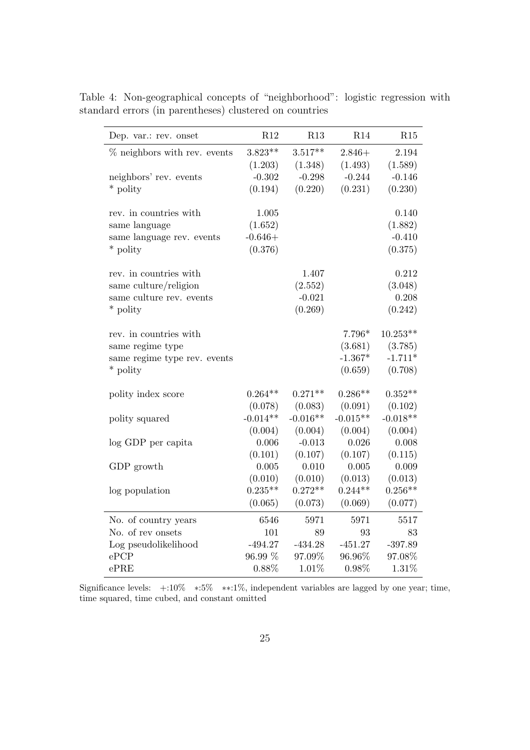| Dep. var.: rev. onset          | R12                   | R13                   | R14                   | R15                   |
|--------------------------------|-----------------------|-----------------------|-----------------------|-----------------------|
| $%$ neighbors with rev. events | $3.823**$             | $3.517**$             | $2.846+$              | 2.194                 |
|                                | (1.203)               | (1.348)               | (1.493)               | (1.589)               |
| neighbors' rev. events         | $-0.302$              | $-0.298$              | $-0.244$              | $-0.146$              |
| * polity                       | (0.194)               | (0.220)               | (0.231)               | (0.230)               |
|                                |                       |                       |                       |                       |
| rev. in countries with         | 1.005                 |                       |                       | 0.140                 |
| same language                  | (1.652)               |                       |                       | (1.882)               |
| same language rev. events      | $-0.646+$             |                       |                       | $-0.410$              |
| * polity                       | (0.376)               |                       |                       | (0.375)               |
|                                |                       |                       |                       |                       |
| rev. in countries with         |                       | 1.407                 |                       | 0.212                 |
| same culture/religion          |                       | (2.552)               |                       | (3.048)               |
| same culture rev. events       |                       | $-0.021$              |                       | 0.208                 |
| * polity                       |                       | (0.269)               |                       | (0.242)               |
|                                |                       |                       |                       |                       |
| rev. in countries with         |                       |                       | $7.796*$              | $10.253**$            |
| same regime type               |                       |                       | (3.681)               | (3.785)               |
| same regime type rev. events   |                       |                       | $-1.367*$             | $-1.711*$             |
| * polity                       |                       |                       | (0.659)               | (0.708)               |
|                                |                       |                       |                       |                       |
| polity index score             | $0.264**$             | $0.271**$             | $0.286**$             | $0.352**$             |
|                                | (0.078)<br>$-0.014**$ | (0.083)<br>$-0.016**$ | (0.091)<br>$-0.015**$ | (0.102)<br>$-0.018**$ |
| polity squared                 |                       |                       |                       |                       |
|                                | (0.004)               | (0.004)               | (0.004)               | (0.004)               |
| log GDP per capita             | 0.006                 | $-0.013$              | 0.026                 | 0.008                 |
|                                | (0.101)               | (0.107)               | (0.107)               | (0.115)               |
| GDP growth                     | 0.005                 | 0.010                 | 0.005                 | 0.009                 |
|                                | (0.010)               | (0.010)               | (0.013)               | (0.013)               |
| log population                 | $0.235**$             | $0.272**$             | $0.244**$             | $0.256**$             |
|                                | (0.065)               | (0.073)               | (0.069)               | (0.077)               |
| No. of country years           | 6546                  | $5971\,$              | 5971                  | 5517                  |
| No. of rev onsets              | 101                   | 89                    | 93                    | 83                    |
| Log pseudolikelihood           | $-494.27$             | $-434.28$             | $-451.27$             | $-397.89$             |
| ePCP                           | 96.99 %               | 97.09%                | 96.96%                | 97.08%                |
| ePRE                           | 0.88%                 | 1.01%                 | 0.98%                 | 1.31%                 |

Table 4: Non-geographical concepts of "neighborhood": logistic regression with standard errors (in parentheses) clustered on countries

Significance levels: +:10% ∗:5% ∗∗:1%, independent variables are lagged by one year; time, time squared, time cubed, and constant omitted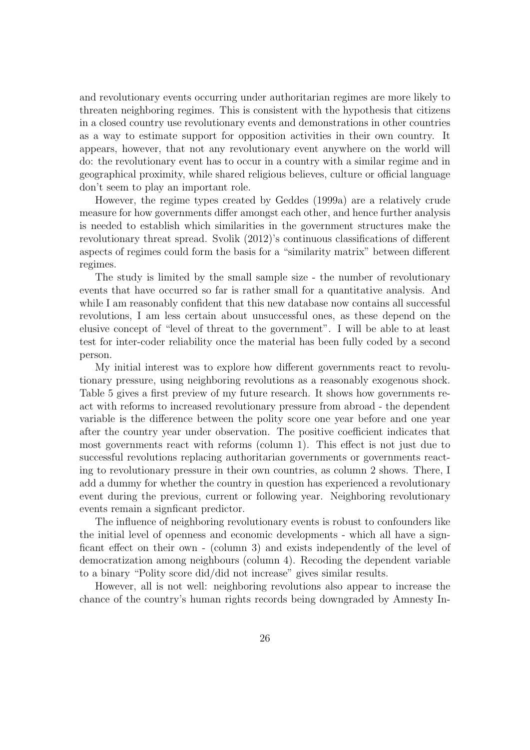and revolutionary events occurring under authoritarian regimes are more likely to threaten neighboring regimes. This is consistent with the hypothesis that citizens in a closed country use revolutionary events and demonstrations in other countries as a way to estimate support for opposition activities in their own country. It appears, however, that not any revolutionary event anywhere on the world will do: the revolutionary event has to occur in a country with a similar regime and in geographical proximity, while shared religious believes, culture or official language don't seem to play an important role.

However, the regime types created by Geddes (1999a) are a relatively crude measure for how governments differ amongst each other, and hence further analysis is needed to establish which similarities in the government structures make the revolutionary threat spread. Svolik (2012)'s continuous classifications of different aspects of regimes could form the basis for a "similarity matrix" between different regimes.

The study is limited by the small sample size - the number of revolutionary events that have occurred so far is rather small for a quantitative analysis. And while I am reasonably confident that this new database now contains all successful revolutions, I am less certain about unsuccessful ones, as these depend on the elusive concept of "level of threat to the government". I will be able to at least test for inter-coder reliability once the material has been fully coded by a second person.

My initial interest was to explore how different governments react to revolutionary pressure, using neighboring revolutions as a reasonably exogenous shock. Table 5 gives a first preview of my future research. It shows how governments react with reforms to increased revolutionary pressure from abroad - the dependent variable is the difference between the polity score one year before and one year after the country year under observation. The positive coefficient indicates that most governments react with reforms (column 1). This effect is not just due to successful revolutions replacing authoritarian governments or governments reacting to revolutionary pressure in their own countries, as column 2 shows. There, I add a dummy for whether the country in question has experienced a revolutionary event during the previous, current or following year. Neighboring revolutionary events remain a signficant predictor.

The influence of neighboring revolutionary events is robust to confounders like the initial level of openness and economic developments - which all have a signficant effect on their own - (column 3) and exists independently of the level of democratization among neighbours (column 4). Recoding the dependent variable to a binary "Polity score did/did not increase" gives similar results.

However, all is not well: neighboring revolutions also appear to increase the chance of the country's human rights records being downgraded by Amnesty In-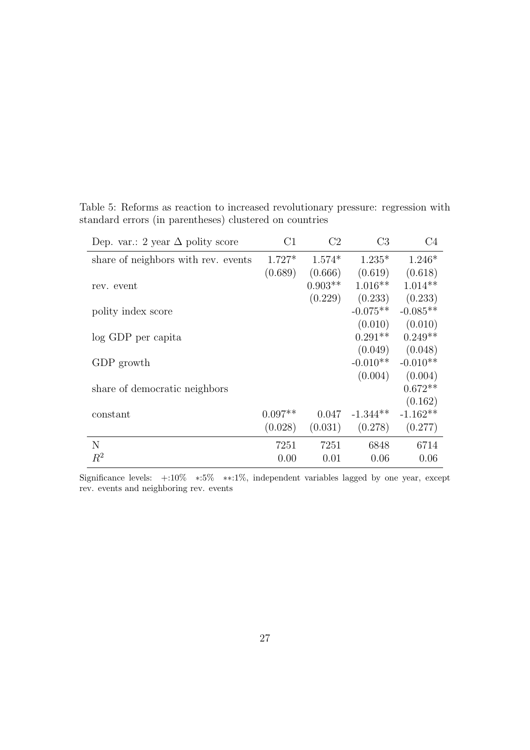|  |  |  | Table 5: Reforms as reaction to increased revolutionary pressure: regression with |  |  |
|--|--|--|-----------------------------------------------------------------------------------|--|--|
|  |  |  | standard errors (in parentheses) clustered on countries                           |  |  |

| Dep. var.: 2 year $\Delta$ polity score | C1        | C <sub>2</sub> | C <sub>3</sub> | C4         |
|-----------------------------------------|-----------|----------------|----------------|------------|
| share of neighbors with rev. events     | $1.727*$  | $1.574*$       | $1.235*$       | $1.246*$   |
|                                         | (0.689)   | (0.666)        | (0.619)        | (0.618)    |
| rev. event                              |           | $0.903**$      | $1.016**$      | $1.014**$  |
|                                         |           | (0.229)        | (0.233)        | (0.233)    |
| polity index score                      |           |                | $-0.075**$     | $-0.085**$ |
|                                         |           |                | (0.010)        | (0.010)    |
| log GDP per capita                      |           |                | $0.291**$      | $0.249**$  |
|                                         |           |                | (0.049)        | (0.048)    |
| GDP growth                              |           |                | $-0.010**$     | $-0.010**$ |
|                                         |           |                | (0.004)        | (0.004)    |
| share of democratic neighbors           |           |                |                | $0.672**$  |
|                                         |           |                |                | (0.162)    |
| constant                                | $0.097**$ | 0.047          | $-1.344**$     | $-1.162**$ |
|                                         | (0.028)   | (0.031)        | (0.278)        | (0.277)    |
| N                                       | 7251      | 7251           | 6848           | 6714       |
| $R^2$                                   | 0.00      | 0.01           | 0.06           | 0.06       |

Significance levels: +:10% ∗:5% ∗∗:1%, independent variables lagged by one year, except rev. events and neighboring rev. events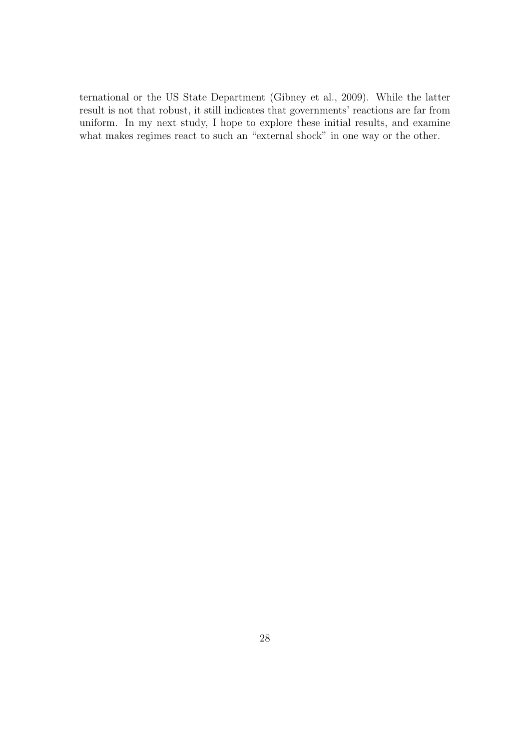ternational or the US State Department (Gibney et al., 2009). While the latter result is not that robust, it still indicates that governments' reactions are far from uniform. In my next study, I hope to explore these initial results, and examine what makes regimes react to such an "external shock" in one way or the other.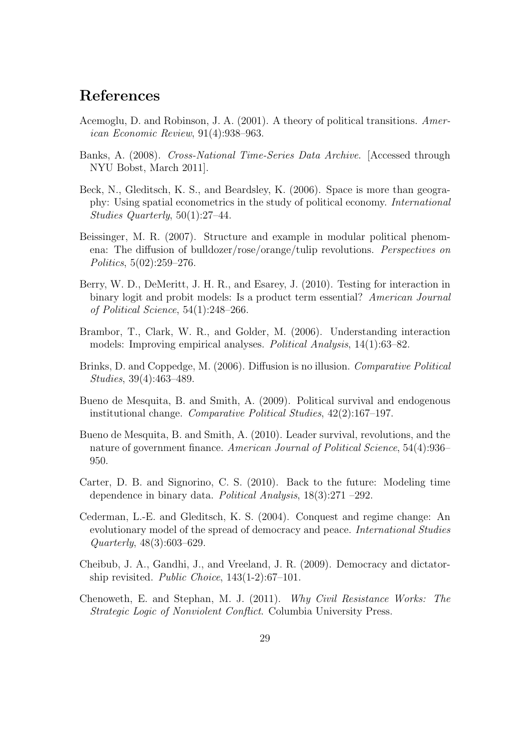## References

- Acemoglu, D. and Robinson, J. A. (2001). A theory of political transitions. American Economic Review, 91(4):938–963.
- Banks, A. (2008). Cross-National Time-Series Data Archive. [Accessed through NYU Bobst, March 2011].
- Beck, N., Gleditsch, K. S., and Beardsley, K. (2006). Space is more than geography: Using spatial econometrics in the study of political economy. International Studies Quarterly, 50(1):27–44.
- Beissinger, M. R. (2007). Structure and example in modular political phenomena: The diffusion of bulldozer/rose/orange/tulip revolutions. Perspectives on Politics, 5(02):259–276.
- Berry, W. D., DeMeritt, J. H. R., and Esarey, J. (2010). Testing for interaction in binary logit and probit models: Is a product term essential? American Journal of Political Science, 54(1):248–266.
- Brambor, T., Clark, W. R., and Golder, M. (2006). Understanding interaction models: Improving empirical analyses. Political Analysis, 14(1):63–82.
- Brinks, D. and Coppedge, M. (2006). Diffusion is no illusion. Comparative Political Studies, 39(4):463–489.
- Bueno de Mesquita, B. and Smith, A. (2009). Political survival and endogenous institutional change. Comparative Political Studies, 42(2):167–197.
- Bueno de Mesquita, B. and Smith, A. (2010). Leader survival, revolutions, and the nature of government finance. American Journal of Political Science, 54(4):936– 950.
- Carter, D. B. and Signorino, C. S. (2010). Back to the future: Modeling time dependence in binary data. Political Analysis, 18(3):271 –292.
- Cederman, L.-E. and Gleditsch, K. S. (2004). Conquest and regime change: An evolutionary model of the spread of democracy and peace. International Studies Quarterly, 48(3):603–629.
- Cheibub, J. A., Gandhi, J., and Vreeland, J. R. (2009). Democracy and dictatorship revisited. *Public Choice*,  $143(1-2)$ :67-101.
- Chenoweth, E. and Stephan, M. J. (2011). Why Civil Resistance Works: The Strategic Logic of Nonviolent Conflict. Columbia University Press.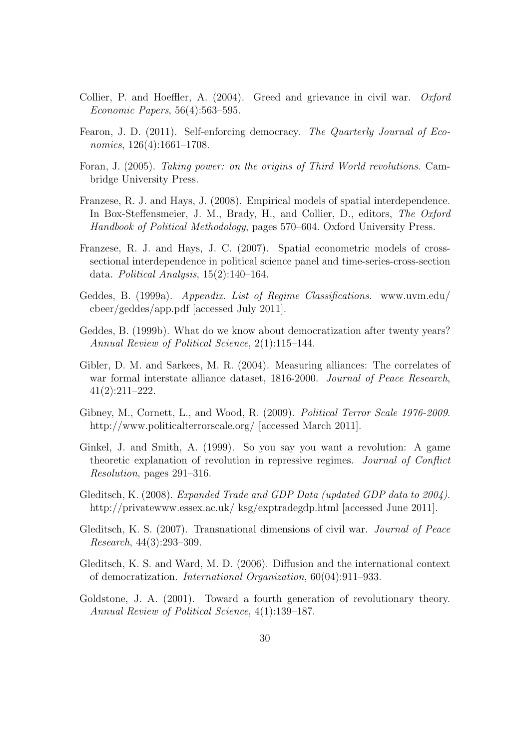- Collier, P. and Hoeffler, A. (2004). Greed and grievance in civil war. Oxford Economic Papers, 56(4):563–595.
- Fearon, J. D. (2011). Self-enforcing democracy. The Quarterly Journal of Economics, 126(4):1661–1708.
- Foran, J. (2005). Taking power: on the origins of Third World revolutions. Cambridge University Press.
- Franzese, R. J. and Hays, J. (2008). Empirical models of spatial interdependence. In Box-Steffensmeier, J. M., Brady, H., and Collier, D., editors, The Oxford Handbook of Political Methodology, pages 570–604. Oxford University Press.
- Franzese, R. J. and Hays, J. C. (2007). Spatial econometric models of crosssectional interdependence in political science panel and time-series-cross-section data. Political Analysis, 15(2):140–164.
- Geddes, B. (1999a). Appendix. List of Regime Classifications. www.uvm.edu/ cbeer/geddes/app.pdf [accessed July 2011].
- Geddes, B. (1999b). What do we know about democratization after twenty years? Annual Review of Political Science, 2(1):115–144.
- Gibler, D. M. and Sarkees, M. R. (2004). Measuring alliances: The correlates of war formal interstate alliance dataset, 1816-2000. Journal of Peace Research, 41(2):211–222.
- Gibney, M., Cornett, L., and Wood, R. (2009). Political Terror Scale 1976-2009. http://www.politicalterrorscale.org/ [accessed March 2011].
- Ginkel, J. and Smith, A. (1999). So you say you want a revolution: A game theoretic explanation of revolution in repressive regimes. Journal of Conflict Resolution, pages 291–316.
- Gleditsch, K. (2008). Expanded Trade and GDP Data (updated GDP data to 2004). http://privatewww.essex.ac.uk/ ksg/exptradegdp.html [accessed June 2011].
- Gleditsch, K. S. (2007). Transnational dimensions of civil war. Journal of Peace Research, 44(3):293–309.
- Gleditsch, K. S. and Ward, M. D. (2006). Diffusion and the international context of democratization. International Organization, 60(04):911–933.
- Goldstone, J. A. (2001). Toward a fourth generation of revolutionary theory. Annual Review of Political Science, 4(1):139–187.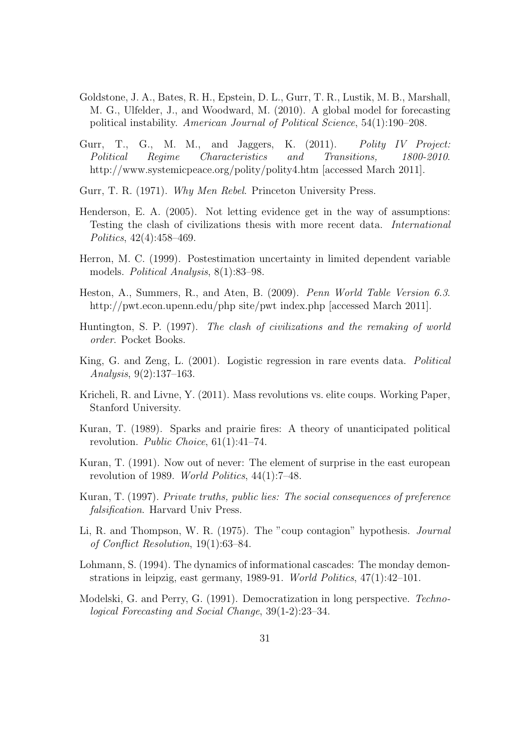- Goldstone, J. A., Bates, R. H., Epstein, D. L., Gurr, T. R., Lustik, M. B., Marshall, M. G., Ulfelder, J., and Woodward, M. (2010). A global model for forecasting political instability. American Journal of Political Science, 54(1):190–208.
- Gurr, T., G., M. M., and Jaggers, K.  $(2011)$ . Polity IV Project: Political Regime Characteristics and Transitions, 1800-2010. http://www.systemicpeace.org/polity/polity4.htm [accessed March 2011].
- Gurr, T. R. (1971). Why Men Rebel. Princeton University Press.
- Henderson, E. A. (2005). Not letting evidence get in the way of assumptions: Testing the clash of civilizations thesis with more recent data. International Politics, 42(4):458–469.
- Herron, M. C. (1999). Postestimation uncertainty in limited dependent variable models. *Political Analysis*, 8(1):83–98.
- Heston, A., Summers, R., and Aten, B. (2009). Penn World Table Version 6.3. http://pwt.econ.upenn.edu/php site/pwt index.php [accessed March 2011].
- Huntington, S. P. (1997). The clash of civilizations and the remaking of world order. Pocket Books.
- King, G. and Zeng, L. (2001). Logistic regression in rare events data. Political Analysis, 9(2):137–163.
- Kricheli, R. and Livne, Y. (2011). Mass revolutions vs. elite coups. Working Paper, Stanford University.
- Kuran, T. (1989). Sparks and prairie fires: A theory of unanticipated political revolution. Public Choice, 61(1):41–74.
- Kuran, T. (1991). Now out of never: The element of surprise in the east european revolution of 1989. World Politics, 44(1):7–48.
- Kuran, T. (1997). Private truths, public lies: The social consequences of preference falsification. Harvard Univ Press.
- Li, R. and Thompson, W. R. (1975). The "coup contagion" hypothesis. Journal of Conflict Resolution, 19(1):63–84.
- Lohmann, S. (1994). The dynamics of informational cascades: The monday demonstrations in leipzig, east germany, 1989-91. World Politics, 47(1):42–101.
- Modelski, G. and Perry, G. (1991). Democratization in long perspective. Technological Forecasting and Social Change, 39(1-2):23–34.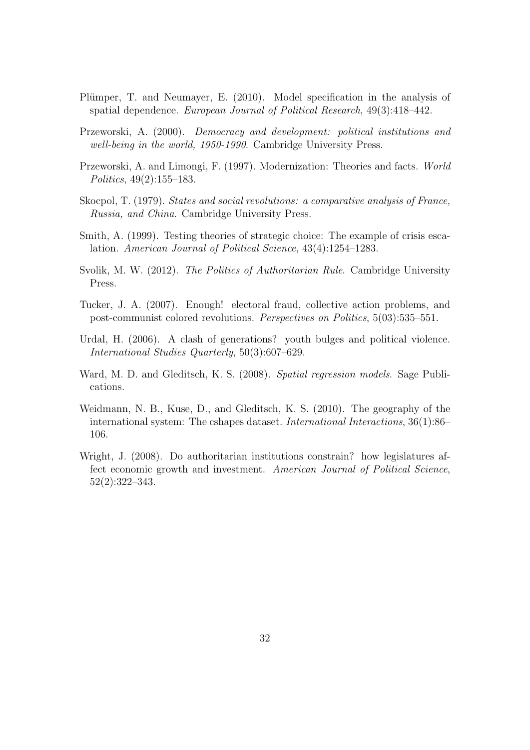- Plümper, T. and Neumayer, E. (2010). Model specification in the analysis of spatial dependence. European Journal of Political Research, 49(3):418–442.
- Przeworski, A. (2000). Democracy and development: political institutions and well-being in the world, 1950-1990. Cambridge University Press.
- Przeworski, A. and Limongi, F. (1997). Modernization: Theories and facts. World Politics, 49(2):155–183.
- Skocpol, T. (1979). States and social revolutions: a comparative analysis of France, Russia, and China. Cambridge University Press.
- Smith, A. (1999). Testing theories of strategic choice: The example of crisis escalation. American Journal of Political Science, 43(4):1254–1283.
- Svolik, M. W. (2012). The Politics of Authoritarian Rule. Cambridge University Press.
- Tucker, J. A. (2007). Enough! electoral fraud, collective action problems, and post-communist colored revolutions. Perspectives on Politics, 5(03):535–551.
- Urdal, H. (2006). A clash of generations? youth bulges and political violence. International Studies Quarterly, 50(3):607–629.
- Ward, M. D. and Gleditsch, K. S. (2008). Spatial regression models. Sage Publications.
- Weidmann, N. B., Kuse, D., and Gleditsch, K. S. (2010). The geography of the international system: The cshapes dataset. International Interactions, 36(1):86– 106.
- Wright, J. (2008). Do authoritarian institutions constrain? how legislatures affect economic growth and investment. American Journal of Political Science, 52(2):322–343.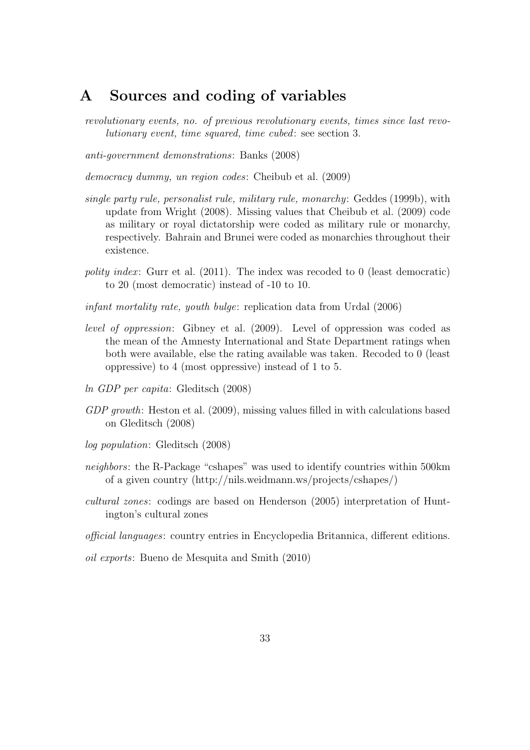## A Sources and coding of variables

revolutionary events, no. of previous revolutionary events, times since last revolutionary event, time squared, time cubed: see section 3.

anti-government demonstrations: Banks (2008)

democracy dummy, un region codes: Cheibub et al. (2009)

- single party rule, personalist rule, military rule, monarchy: Geddes (1999b), with update from Wright (2008). Missing values that Cheibub et al. (2009) code as military or royal dictatorship were coded as military rule or monarchy, respectively. Bahrain and Brunei were coded as monarchies throughout their existence.
- polity index: Gurr et al.  $(2011)$ . The index was recoded to 0 (least democratic) to 20 (most democratic) instead of -10 to 10.
- infant mortality rate, youth bulge: replication data from Urdal (2006)
- level of oppression: Gibney et al. (2009). Level of oppression was coded as the mean of the Amnesty International and State Department ratings when both were available, else the rating available was taken. Recoded to 0 (least oppressive) to 4 (most oppressive) instead of 1 to 5.
- ln GDP per capita: Gleditsch (2008)
- GDP growth: Heston et al. (2009), missing values filled in with calculations based on Gleditsch (2008)
- log population: Gleditsch (2008)
- neighbors: the R-Package "cshapes" was used to identify countries within 500km of a given country (http://nils.weidmann.ws/projects/cshapes/)
- cultural zones: codings are based on Henderson (2005) interpretation of Huntington's cultural zones
- official languages: country entries in Encyclopedia Britannica, different editions.

oil exports: Bueno de Mesquita and Smith (2010)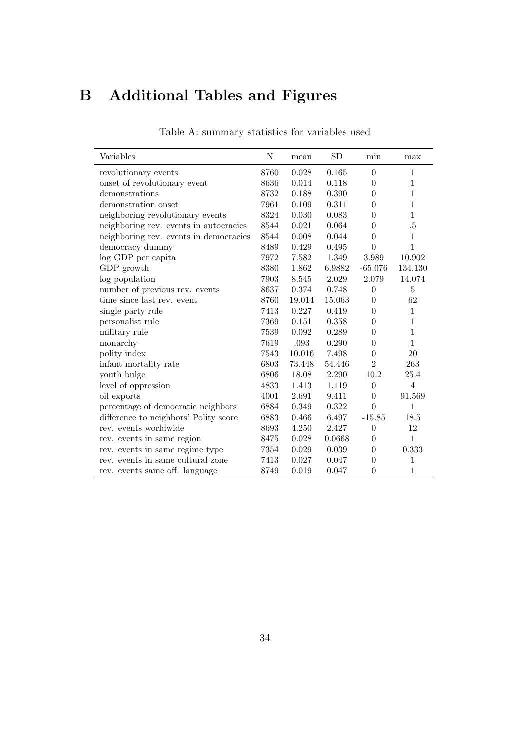# B Additional Tables and Figures

| Variables                              | Ν    | mean   | ${\rm SD}$ | min              | max            |
|----------------------------------------|------|--------|------------|------------------|----------------|
| revolutionary events                   | 8760 | 0.028  | 0.165      | $\overline{0}$   | $\mathbf{1}$   |
| onset of revolutionary event           | 8636 | 0.014  | 0.118      | $\Omega$         | 1              |
| demonstrations                         | 8732 | 0.188  | 0.390      | $\overline{0}$   | 1              |
| demonstration onset                    | 7961 | 0.109  | 0.311      | $\overline{0}$   | $\mathbf{1}$   |
| neighboring revolutionary events       | 8324 | 0.030  | 0.083      | $\theta$         | $\mathbf{1}$   |
| neighboring rev. events in autocracies | 8544 | 0.021  | 0.064      | $\overline{0}$   | $.5\,$         |
| neighboring rev. events in democracies | 8544 | 0.008  | 0.044      | $\theta$         | $\mathbf{1}$   |
| democracy dummy                        | 8489 | 0.429  | 0.495      | $\theta$         | 1              |
| log GDP per capita                     | 7972 | 7.582  | 1.349      | 3.989            | 10.902         |
| GDP growth                             | 8380 | 1.862  | 6.9882     | $-65.076$        | 134.130        |
| log population                         | 7903 | 8.545  | 2.029      | 2.079            | 14.074         |
| number of previous rev. events         | 8637 | 0.374  | 0.748      | $\theta$         | $\overline{5}$ |
| time since last rev. event             | 8760 | 19.014 | 15.063     | $\overline{0}$   | 62             |
| single party rule                      | 7413 | 0.227  | 0.419      | $\overline{0}$   | $\mathbf{1}$   |
| personalist rule                       | 7369 | 0.151  | 0.358      | $\overline{0}$   | $\mathbf{1}$   |
| military rule                          | 7539 | 0.092  | 0.289      | $\overline{0}$   | $\mathbf{1}$   |
| monarchy                               | 7619 | .093   | 0.290      | $\overline{0}$   | $\mathbf{1}$   |
| polity index                           | 7543 | 10.016 | 7.498      | $\overline{0}$   | 20             |
| infant mortality rate                  | 6803 | 73.448 | 54.446     | $\overline{2}$   | 263            |
| youth bulge                            | 6806 | 18.08  | 2.290      | 10.2             | 25.4           |
| level of oppression                    | 4833 | 1.413  | 1.119      | $\overline{0}$   | $\overline{4}$ |
| oil exports                            | 4001 | 2.691  | 9.411      | $\overline{0}$   | 91.569         |
| percentage of democratic neighbors     | 6884 | 0.349  | 0.322      | $\theta$         | 1              |
| difference to neighbors' Polity score  | 6883 | 0.466  | 6.497      | $-15.85$         | 18.5           |
| rev. events worldwide                  | 8693 | 4.250  | 2.427      | $\boldsymbol{0}$ | 12             |
| rev. events in same region             | 8475 | 0.028  | 0.0668     | $\Omega$         | $\mathbf{1}$   |
| rev. events in same regime type        | 7354 | 0.029  | 0.039      | $\theta$         | 0.333          |
| rev. events in same cultural zone      | 7413 | 0.027  | 0.047      | $\theta$         | 1              |
| rev. events same off. language         | 8749 | 0.019  | 0.047      | $\theta$         | $\mathbf 1$    |
|                                        |      |        |            |                  |                |

|  | Table A: summary statistics for variables used |  |  |
|--|------------------------------------------------|--|--|
|  |                                                |  |  |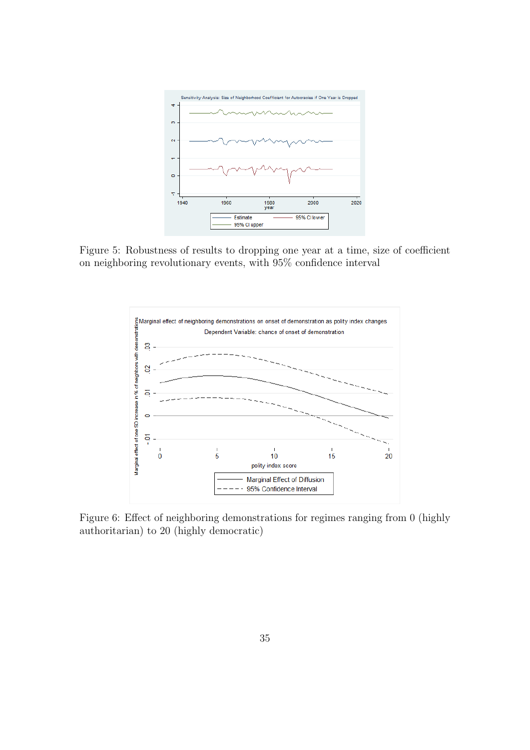

Figure 5: Robustness of results to dropping one year at a time, size of coefficient on neighboring revolutionary events, with 95% confidence interval



Figure 6: Effect of neighboring demonstrations for regimes ranging from 0 (highly authoritarian) to 20 (highly democratic)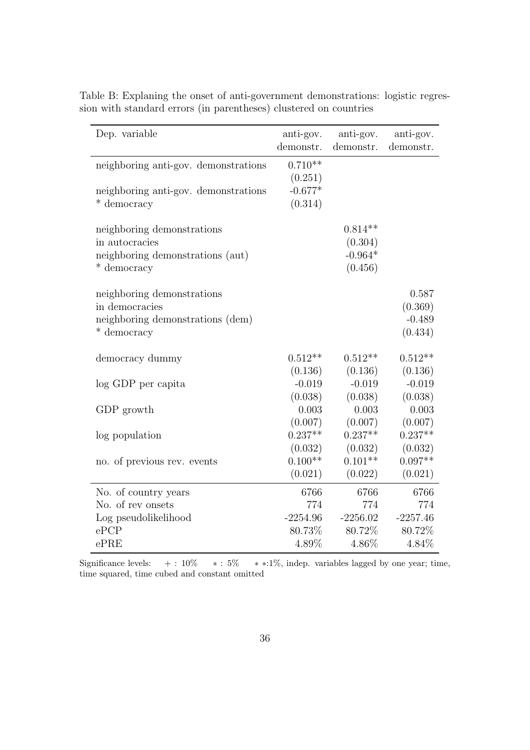| Dep. variable                        | anti-gov.<br>demonstr. | anti-gov.<br>demonstr. | anti-gov.<br>demonstr. |
|--------------------------------------|------------------------|------------------------|------------------------|
| neighboring anti-gov. demonstrations | $0.710**$              |                        |                        |
|                                      | (0.251)                |                        |                        |
| neighboring anti-gov. demonstrations | $-0.677*$              |                        |                        |
| * democracy                          | (0.314)                |                        |                        |
| neighboring demonstrations           |                        | $0.814**$              |                        |
| in autocracies                       |                        | (0.304)                |                        |
| neighboring demonstrations (aut)     |                        | $-0.964*$              |                        |
| * democracy                          |                        | (0.456)                |                        |
| neighboring demonstrations           |                        |                        | 0.587                  |
| in democracies                       |                        |                        | (0.369)                |
| neighboring demonstrations (dem)     |                        |                        | $-0.489$               |
| * democracy                          |                        |                        | (0.434)                |
|                                      |                        |                        |                        |
| democracy dummy                      | $0.512**$              | $0.512**$              | $0.512**$              |
|                                      | (0.136)                | (0.136)                | (0.136)                |
| log GDP per capita                   | $-0.019$               | $-0.019$               | $-0.019$               |
|                                      | (0.038)                | (0.038)                | (0.038)                |
| GDP growth                           | 0.003                  | 0.003                  | 0.003                  |
|                                      | (0.007)                | (0.007)                | (0.007)                |
| log population                       | $0.237**$              | $0.237**$              | $0.237**$              |
|                                      | (0.032)                | (0.032)                | (0.032)                |
| no. of previous rev. events          | $0.100**$              | $0.101**$              | $0.097**$              |
|                                      | (0.021)                | (0.022)                | (0.021)                |
| No. of country years                 | 6766                   | 6766                   | 6766                   |
| No. of rev onsets                    | 774                    | 774                    | 774                    |
| Log pseudolikelihood                 | $-2254.96$             | $-2256.02$             | $-2257.46$             |
| ePCP                                 | 80.73%                 | 80.72%                 | 80.72%                 |
| ePRE                                 | 4.89%                  | 4.86%                  | 4.84%                  |

Table B: Explaning the onset of anti-government demonstrations: logistic regression with standard errors (in parentheses) clustered on countries

Significance levels:  $+: 10\%$  \*: 5% \*\*:1%, indep. variables lagged by one year; time, time squared, time cubed and constant omitted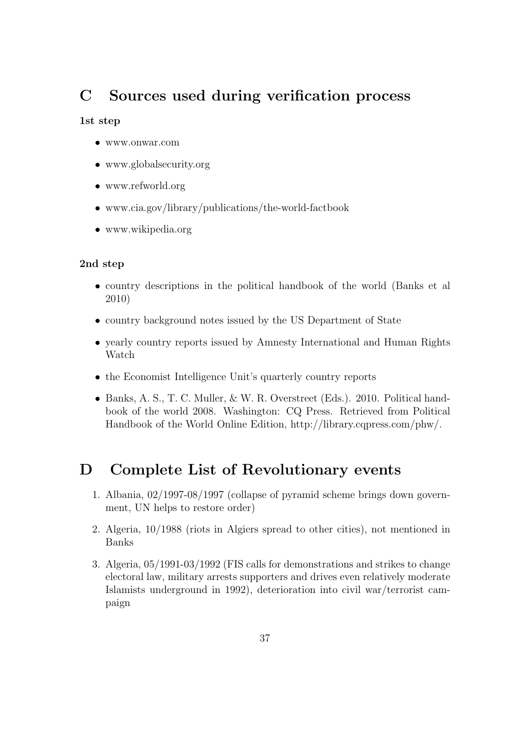## C Sources used during verification process

#### 1st step

- www.onwar.com
- www.globalsecurity.org
- www.refworld.org
- www.cia.gov/library/publications/the-world-factbook
- www.wikipedia.org

#### 2nd step

- country descriptions in the political handbook of the world (Banks et al 2010)
- country background notes issued by the US Department of State
- yearly country reports issued by Amnesty International and Human Rights Watch
- the Economist Intelligence Unit's quarterly country reports
- Banks, A. S., T. C. Muller, & W. R. Overstreet (Eds.). 2010. Political handbook of the world 2008. Washington: CQ Press. Retrieved from Political Handbook of the World Online Edition, http://library.cqpress.com/phw/.

## D Complete List of Revolutionary events

- 1. Albania, 02/1997-08/1997 (collapse of pyramid scheme brings down government, UN helps to restore order)
- 2. Algeria, 10/1988 (riots in Algiers spread to other cities), not mentioned in Banks
- 3. Algeria, 05/1991-03/1992 (FIS calls for demonstrations and strikes to change electoral law, military arrests supporters and drives even relatively moderate Islamists underground in 1992), deterioration into civil war/terrorist campaign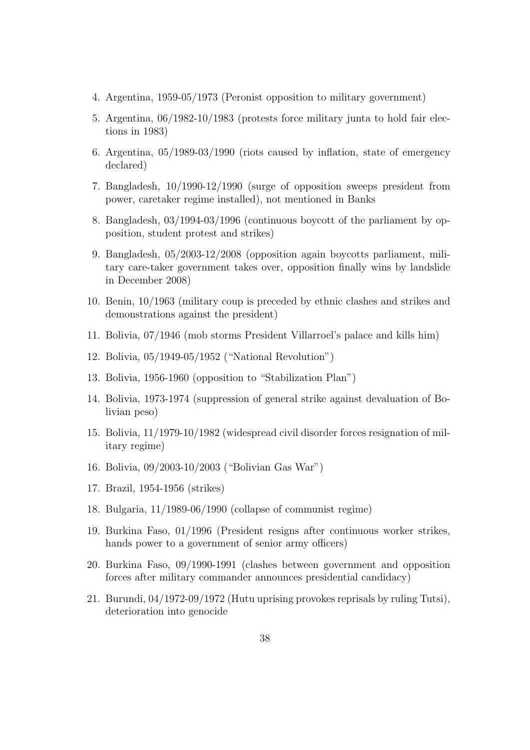- 4. Argentina, 1959-05/1973 (Peronist opposition to military government)
- 5. Argentina, 06/1982-10/1983 (protests force military junta to hold fair elections in 1983)
- 6. Argentina, 05/1989-03/1990 (riots caused by inflation, state of emergency declared)
- 7. Bangladesh, 10/1990-12/1990 (surge of opposition sweeps president from power, caretaker regime installed), not mentioned in Banks
- 8. Bangladesh, 03/1994-03/1996 (continuous boycott of the parliament by opposition, student protest and strikes)
- 9. Bangladesh, 05/2003-12/2008 (opposition again boycotts parliament, military care-taker government takes over, opposition finally wins by landslide in December 2008)
- 10. Benin, 10/1963 (military coup is preceded by ethnic clashes and strikes and demonstrations against the president)
- 11. Bolivia, 07/1946 (mob storms President Villarroel's palace and kills him)
- 12. Bolivia, 05/1949-05/1952 ("National Revolution")
- 13. Bolivia, 1956-1960 (opposition to "Stabilization Plan")
- 14. Bolivia, 1973-1974 (suppression of general strike against devaluation of Bolivian peso)
- 15. Bolivia, 11/1979-10/1982 (widespread civil disorder forces resignation of military regime)
- 16. Bolivia, 09/2003-10/2003 ("Bolivian Gas War")
- 17. Brazil, 1954-1956 (strikes)
- 18. Bulgaria, 11/1989-06/1990 (collapse of communist regime)
- 19. Burkina Faso, 01/1996 (President resigns after continuous worker strikes, hands power to a government of senior army officers)
- 20. Burkina Faso, 09/1990-1991 (clashes between government and opposition forces after military commander announces presidential candidacy)
- 21. Burundi, 04/1972-09/1972 (Hutu uprising provokes reprisals by ruling Tutsi), deterioration into genocide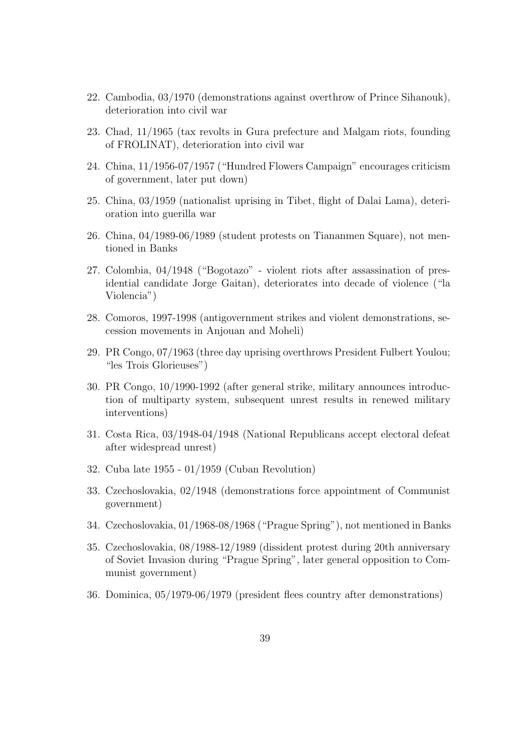- 22. Cambodia, 03/1970 (demonstrations against overthrow of Prince Sihanouk), deterioration into civil war
- 23. Chad, 11/1965 (tax revolts in Gura prefecture and Malgam riots, founding of FROLINAT), deterioration into civil war
- 24. China, 11/1956-07/1957 ("Hundred Flowers Campaign" encourages criticism of government, later put down)
- 25. China, 03/1959 (nationalist uprising in Tibet, flight of Dalai Lama), deterioration into guerilla war
- 26. China, 04/1989-06/1989 (student protests on Tiananmen Square), not mentioned in Banks
- 27. Colombia, 04/1948 ("Bogotazo" violent riots after assassination of presidential candidate Jorge Gaitan), deteriorates into decade of violence ("la Violencia")
- 28. Comoros, 1997-1998 (antigovernment strikes and violent demonstrations, secession movements in Anjouan and Moheli)
- 29. PR Congo, 07/1963 (three day uprising overthrows President Fulbert Youlou; "les Trois Glorieuses")
- 30. PR Congo, 10/1990-1992 (after general strike, military announces introduction of multiparty system, subsequent unrest results in renewed military interventions)
- 31. Costa Rica, 03/1948-04/1948 (National Republicans accept electoral defeat after widespread unrest)
- 32. Cuba late 1955 01/1959 (Cuban Revolution)
- 33. Czechoslovakia, 02/1948 (demonstrations force appointment of Communist government)
- 34. Czechoslovakia, 01/1968-08/1968 ("Prague Spring"), not mentioned in Banks
- 35. Czechoslovakia, 08/1988-12/1989 (dissident protest during 20th anniversary of Soviet Invasion during "Prague Spring", later general opposition to Communist government)
- 36. Dominica, 05/1979-06/1979 (president flees country after demonstrations)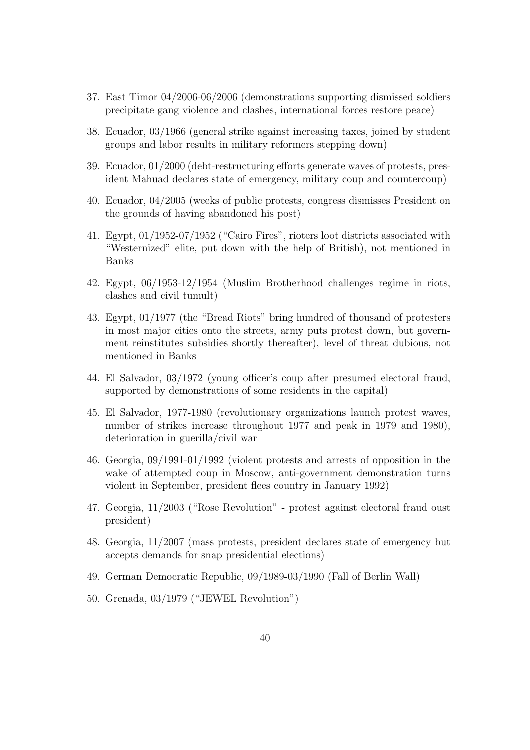- 37. East Timor 04/2006-06/2006 (demonstrations supporting dismissed soldiers precipitate gang violence and clashes, international forces restore peace)
- 38. Ecuador, 03/1966 (general strike against increasing taxes, joined by student groups and labor results in military reformers stepping down)
- 39. Ecuador, 01/2000 (debt-restructuring efforts generate waves of protests, president Mahuad declares state of emergency, military coup and countercoup)
- 40. Ecuador, 04/2005 (weeks of public protests, congress dismisses President on the grounds of having abandoned his post)
- 41. Egypt, 01/1952-07/1952 ("Cairo Fires", rioters loot districts associated with "Westernized" elite, put down with the help of British), not mentioned in Banks
- 42. Egypt, 06/1953-12/1954 (Muslim Brotherhood challenges regime in riots, clashes and civil tumult)
- 43. Egypt, 01/1977 (the "Bread Riots" bring hundred of thousand of protesters in most major cities onto the streets, army puts protest down, but government reinstitutes subsidies shortly thereafter), level of threat dubious, not mentioned in Banks
- 44. El Salvador, 03/1972 (young officer's coup after presumed electoral fraud, supported by demonstrations of some residents in the capital)
- 45. El Salvador, 1977-1980 (revolutionary organizations launch protest waves, number of strikes increase throughout 1977 and peak in 1979 and 1980), deterioration in guerilla/civil war
- 46. Georgia, 09/1991-01/1992 (violent protests and arrests of opposition in the wake of attempted coup in Moscow, anti-government demonstration turns violent in September, president flees country in January 1992)
- 47. Georgia, 11/2003 ("Rose Revolution" protest against electoral fraud oust president)
- 48. Georgia, 11/2007 (mass protests, president declares state of emergency but accepts demands for snap presidential elections)
- 49. German Democratic Republic, 09/1989-03/1990 (Fall of Berlin Wall)
- 50. Grenada, 03/1979 ("JEWEL Revolution")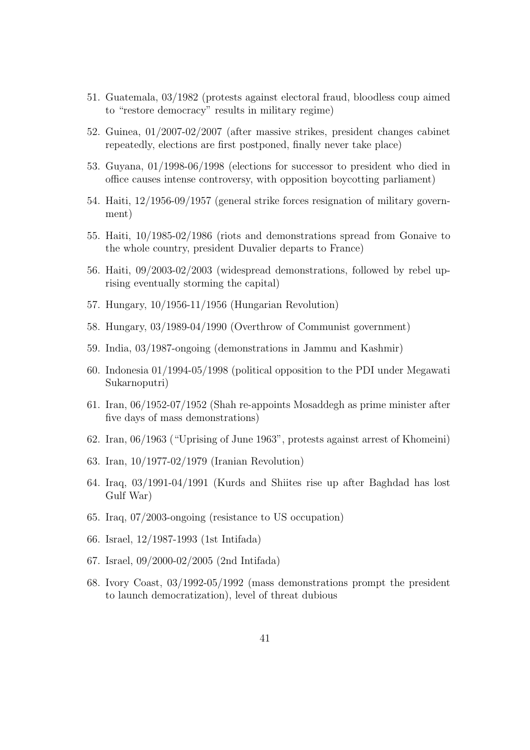- 51. Guatemala, 03/1982 (protests against electoral fraud, bloodless coup aimed to "restore democracy" results in military regime)
- 52. Guinea, 01/2007-02/2007 (after massive strikes, president changes cabinet repeatedly, elections are first postponed, finally never take place)
- 53. Guyana, 01/1998-06/1998 (elections for successor to president who died in office causes intense controversy, with opposition boycotting parliament)
- 54. Haiti, 12/1956-09/1957 (general strike forces resignation of military government)
- 55. Haiti, 10/1985-02/1986 (riots and demonstrations spread from Gonaive to the whole country, president Duvalier departs to France)
- 56. Haiti, 09/2003-02/2003 (widespread demonstrations, followed by rebel uprising eventually storming the capital)
- 57. Hungary, 10/1956-11/1956 (Hungarian Revolution)
- 58. Hungary, 03/1989-04/1990 (Overthrow of Communist government)
- 59. India, 03/1987-ongoing (demonstrations in Jammu and Kashmir)
- 60. Indonesia 01/1994-05/1998 (political opposition to the PDI under Megawati Sukarnoputri)
- 61. Iran, 06/1952-07/1952 (Shah re-appoints Mosaddegh as prime minister after five days of mass demonstrations)
- 62. Iran, 06/1963 ("Uprising of June 1963", protests against arrest of Khomeini)
- 63. Iran, 10/1977-02/1979 (Iranian Revolution)
- 64. Iraq, 03/1991-04/1991 (Kurds and Shiites rise up after Baghdad has lost Gulf War)
- 65. Iraq, 07/2003-ongoing (resistance to US occupation)
- 66. Israel, 12/1987-1993 (1st Intifada)
- 67. Israel, 09/2000-02/2005 (2nd Intifada)
- 68. Ivory Coast, 03/1992-05/1992 (mass demonstrations prompt the president to launch democratization), level of threat dubious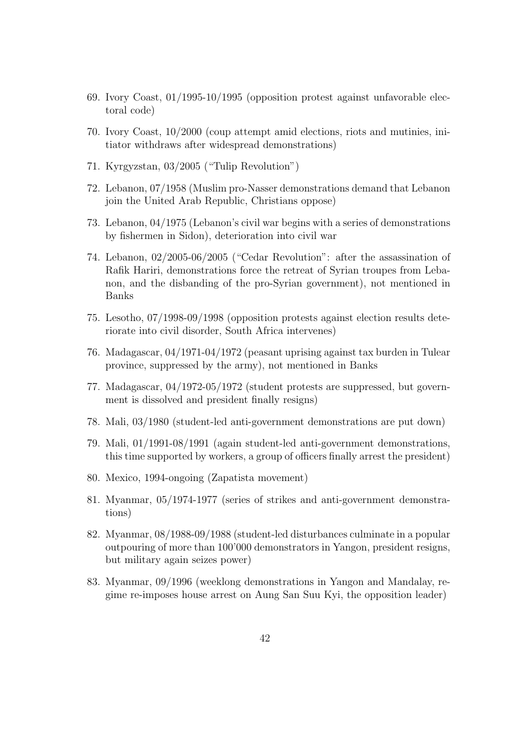- 69. Ivory Coast, 01/1995-10/1995 (opposition protest against unfavorable electoral code)
- 70. Ivory Coast, 10/2000 (coup attempt amid elections, riots and mutinies, initiator withdraws after widespread demonstrations)
- 71. Kyrgyzstan, 03/2005 ("Tulip Revolution")
- 72. Lebanon, 07/1958 (Muslim pro-Nasser demonstrations demand that Lebanon join the United Arab Republic, Christians oppose)
- 73. Lebanon, 04/1975 (Lebanon's civil war begins with a series of demonstrations by fishermen in Sidon), deterioration into civil war
- 74. Lebanon, 02/2005-06/2005 ("Cedar Revolution": after the assassination of Rafik Hariri, demonstrations force the retreat of Syrian troupes from Lebanon, and the disbanding of the pro-Syrian government), not mentioned in Banks
- 75. Lesotho, 07/1998-09/1998 (opposition protests against election results deteriorate into civil disorder, South Africa intervenes)
- 76. Madagascar, 04/1971-04/1972 (peasant uprising against tax burden in Tulear province, suppressed by the army), not mentioned in Banks
- 77. Madagascar, 04/1972-05/1972 (student protests are suppressed, but government is dissolved and president finally resigns)
- 78. Mali, 03/1980 (student-led anti-government demonstrations are put down)
- 79. Mali, 01/1991-08/1991 (again student-led anti-government demonstrations, this time supported by workers, a group of officers finally arrest the president)
- 80. Mexico, 1994-ongoing (Zapatista movement)
- 81. Myanmar, 05/1974-1977 (series of strikes and anti-government demonstrations)
- 82. Myanmar, 08/1988-09/1988 (student-led disturbances culminate in a popular outpouring of more than 100'000 demonstrators in Yangon, president resigns, but military again seizes power)
- 83. Myanmar, 09/1996 (weeklong demonstrations in Yangon and Mandalay, regime re-imposes house arrest on Aung San Suu Kyi, the opposition leader)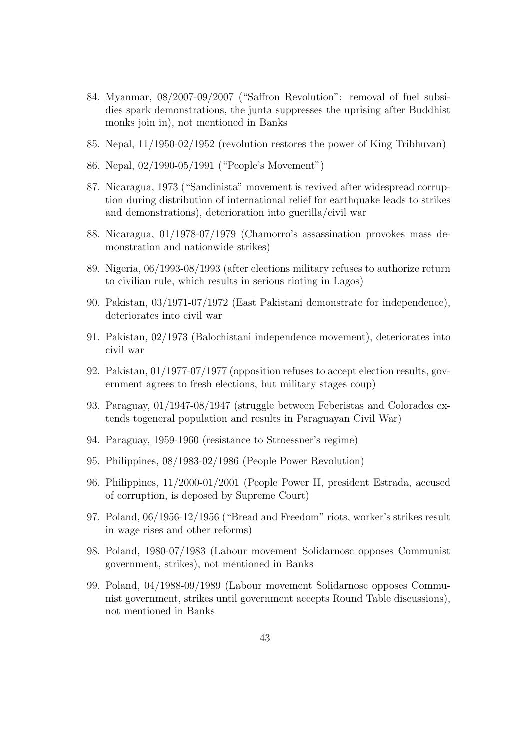- 84. Myanmar, 08/2007-09/2007 ("Saffron Revolution": removal of fuel subsidies spark demonstrations, the junta suppresses the uprising after Buddhist monks join in), not mentioned in Banks
- 85. Nepal, 11/1950-02/1952 (revolution restores the power of King Tribhuvan)
- 86. Nepal, 02/1990-05/1991 ("People's Movement")
- 87. Nicaragua, 1973 ("Sandinista" movement is revived after widespread corruption during distribution of international relief for earthquake leads to strikes and demonstrations), deterioration into guerilla/civil war
- 88. Nicaragua, 01/1978-07/1979 (Chamorro's assassination provokes mass demonstration and nationwide strikes)
- 89. Nigeria, 06/1993-08/1993 (after elections military refuses to authorize return to civilian rule, which results in serious rioting in Lagos)
- 90. Pakistan, 03/1971-07/1972 (East Pakistani demonstrate for independence), deteriorates into civil war
- 91. Pakistan, 02/1973 (Balochistani independence movement), deteriorates into civil war
- 92. Pakistan, 01/1977-07/1977 (opposition refuses to accept election results, government agrees to fresh elections, but military stages coup)
- 93. Paraguay, 01/1947-08/1947 (struggle between Feberistas and Colorados extends togeneral population and results in Paraguayan Civil War)
- 94. Paraguay, 1959-1960 (resistance to Stroessner's regime)
- 95. Philippines, 08/1983-02/1986 (People Power Revolution)
- 96. Philippines, 11/2000-01/2001 (People Power II, president Estrada, accused of corruption, is deposed by Supreme Court)
- 97. Poland, 06/1956-12/1956 ("Bread and Freedom" riots, worker's strikes result in wage rises and other reforms)
- 98. Poland, 1980-07/1983 (Labour movement Solidarnosc opposes Communist government, strikes), not mentioned in Banks
- 99. Poland, 04/1988-09/1989 (Labour movement Solidarnosc opposes Communist government, strikes until government accepts Round Table discussions), not mentioned in Banks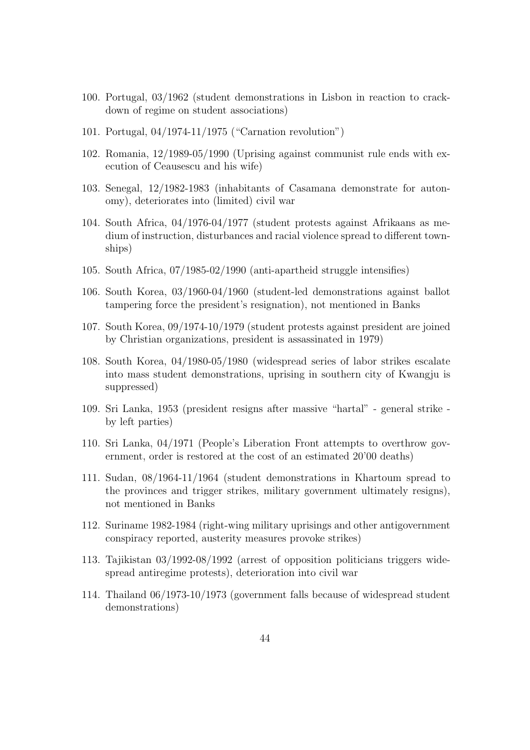- 100. Portugal, 03/1962 (student demonstrations in Lisbon in reaction to crackdown of regime on student associations)
- 101. Portugal, 04/1974-11/1975 ("Carnation revolution")
- 102. Romania, 12/1989-05/1990 (Uprising against communist rule ends with execution of Ceausescu and his wife)
- 103. Senegal, 12/1982-1983 (inhabitants of Casamana demonstrate for autonomy), deteriorates into (limited) civil war
- 104. South Africa, 04/1976-04/1977 (student protests against Afrikaans as medium of instruction, disturbances and racial violence spread to different townships)
- 105. South Africa, 07/1985-02/1990 (anti-apartheid struggle intensifies)
- 106. South Korea, 03/1960-04/1960 (student-led demonstrations against ballot tampering force the president's resignation), not mentioned in Banks
- 107. South Korea, 09/1974-10/1979 (student protests against president are joined by Christian organizations, president is assassinated in 1979)
- 108. South Korea, 04/1980-05/1980 (widespread series of labor strikes escalate into mass student demonstrations, uprising in southern city of Kwangju is suppressed)
- 109. Sri Lanka, 1953 (president resigns after massive "hartal" general strike by left parties)
- 110. Sri Lanka, 04/1971 (People's Liberation Front attempts to overthrow government, order is restored at the cost of an estimated 20'00 deaths)
- 111. Sudan, 08/1964-11/1964 (student demonstrations in Khartoum spread to the provinces and trigger strikes, military government ultimately resigns), not mentioned in Banks
- 112. Suriname 1982-1984 (right-wing military uprisings and other antigovernment conspiracy reported, austerity measures provoke strikes)
- 113. Tajikistan 03/1992-08/1992 (arrest of opposition politicians triggers widespread antiregime protests), deterioration into civil war
- 114. Thailand 06/1973-10/1973 (government falls because of widespread student demonstrations)